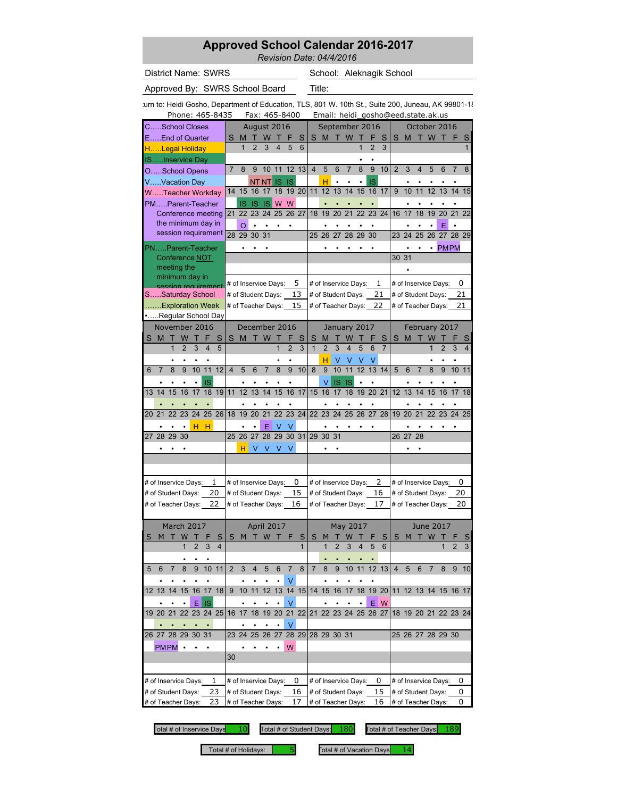*Revision Date: 04/4/2016* 

District Name: SWRS
School:

School: Aleknagik School

Approved By: SWRS School Board Title:

Phone: 465-8435 Fax: 465-8400 Email: heidi\_gosho@eed.state.ak.us lurn to: Heidi Gosho, Department of Education, TLS, 801 W. 10th St., Suite 200, Juneau, AK 99801-18

| PHOTE: 403-0433                                      | rax: 403-0400                                 |                     | Email: neiui_gosno@eeu.state.ak.us                                             |                                                    |  |  |  |  |  |  |  |
|------------------------------------------------------|-----------------------------------------------|---------------------|--------------------------------------------------------------------------------|----------------------------------------------------|--|--|--|--|--|--|--|
| CSchool Closes                                       | August 2016                                   |                     | September 2016                                                                 | October 2016                                       |  |  |  |  |  |  |  |
| EEnd of Quarter                                      | S<br>т<br>W<br>т<br>M                         | F<br>S              | W<br>S M<br>т<br>F<br>S<br>П                                                   | T W T<br>S<br>M<br>F<br>S                          |  |  |  |  |  |  |  |
| HLegal Holiday                                       | 1<br>$\overline{2}$<br>3<br>4                 | 5<br>6              | 1<br>$\overline{2}$<br>3                                                       |                                                    |  |  |  |  |  |  |  |
| ISInservice Day                                      |                                               |                     |                                                                                |                                                    |  |  |  |  |  |  |  |
| OSchool Opens                                        | 11<br>7<br>8<br>9<br>10                       | 12<br>13            | $\overline{4}$<br>5<br>6<br>$\overline{7}$<br>8<br>9<br>10                     | $\overline{2}$<br>3<br>4<br>5<br>6<br>7<br>8       |  |  |  |  |  |  |  |
| VVacation Day                                        | <b>NT NT</b><br>1S                            | 1S                  | н<br>IS<br>٠                                                                   |                                                    |  |  |  |  |  |  |  |
| WTeacher Workday                                     | 15<br>16<br>18<br>14<br>17                    | 19<br>20            | 11<br>12<br>13<br>14<br>15<br>16<br>17                                         | 9<br>10<br>12<br>13<br>14<br>15<br>11              |  |  |  |  |  |  |  |
| PMParent-Teacher                                     | IS<br>-IS<br>W<br>-IS                         | W                   |                                                                                |                                                    |  |  |  |  |  |  |  |
| Conference meeting                                   | 25<br>22<br>23<br>24<br>21                    | 26 27               | 22<br>23<br>24<br>19<br>20<br>21<br>18                                         | 18<br>19<br>20<br>21<br>16<br>17<br>22             |  |  |  |  |  |  |  |
| the minimum day in                                   | O                                             |                     |                                                                                | E                                                  |  |  |  |  |  |  |  |
| session requirement                                  | 30<br>31<br>28 29                             |                     | 27<br>28 29<br>30<br>25 26                                                     | 25<br>24<br>26 27 28 29<br>23                      |  |  |  |  |  |  |  |
| PNParent-Teacher                                     |                                               |                     |                                                                                | <b>PMPM</b><br>۰                                   |  |  |  |  |  |  |  |
| Conference NOT                                       |                                               |                     |                                                                                | 30 31                                              |  |  |  |  |  |  |  |
| meeting the                                          |                                               |                     |                                                                                |                                                    |  |  |  |  |  |  |  |
| minimum day in                                       | # of Inservice Days:                          | 5                   | # of Inservice Days:<br>1                                                      | 0<br># of Inservice Days:                          |  |  |  |  |  |  |  |
| session requirement<br>SSaturday School              | # of Student Days:                            | 13                  | 21<br># of Student Days:                                                       | 21<br># of Student Days:                           |  |  |  |  |  |  |  |
| Exploration Week                                     | # of Teacher Days:                            | 15                  | 22<br># of Teacher Days:                                                       | # of Teacher Days:<br>21                           |  |  |  |  |  |  |  |
| •Regular School Day                                  |                                               |                     |                                                                                |                                                    |  |  |  |  |  |  |  |
| November 2016                                        | December 2016                                 |                     |                                                                                |                                                    |  |  |  |  |  |  |  |
| т<br>w<br>M<br>F<br>S                                | S<br>М<br>т<br>W                              | S                   | January 2017<br>M<br>W                                                         | February 2017<br>S<br>M<br>w                       |  |  |  |  |  |  |  |
| S<br>$\overline{1}$<br>3<br>4<br>$\overline{2}$<br>5 | 1                                             | $\overline{2}$<br>3 | S<br>S<br>3<br>5<br>$\mathbf{1}$<br>$\overline{2}$<br>4<br>6<br>$\overline{7}$ | $\overline{2}$<br>3<br>1<br>$\overline{4}$         |  |  |  |  |  |  |  |
|                                                      |                                               |                     |                                                                                |                                                    |  |  |  |  |  |  |  |
| 11<br>12<br>8<br>9<br>10<br>7<br>6                   | 4<br>5<br>$\overline{7}$<br>8<br>6            | 9<br>10             | H<br>V<br>V<br>v<br>V<br>10<br>12<br>13 14<br>9<br>11<br>8                     | 5<br>$\overline{7}$<br>8<br>6<br>9<br>10<br>11     |  |  |  |  |  |  |  |
|                                                      |                                               |                     |                                                                                |                                                    |  |  |  |  |  |  |  |
| <b>IS</b><br>18<br>19<br>14<br>15<br>16<br>17        | 11<br>12<br>13<br>14<br>15                    | 16<br>17            | v<br>IS<br>-IS<br>15<br>18<br>19<br>20<br>21<br>16<br>17                       | 12<br>13<br>15<br>14<br>16<br>17<br>18             |  |  |  |  |  |  |  |
|                                                      |                                               |                     |                                                                                |                                                    |  |  |  |  |  |  |  |
|                                                      |                                               |                     |                                                                                |                                                    |  |  |  |  |  |  |  |
| 23<br>24<br>25 26<br>20 21<br>22                     | 18<br>19<br>20<br>21                          | 22 23 24            | 22 23<br>24<br>25<br>26 27<br>28                                               | 19 20<br>21<br>22<br>23<br>24 25                   |  |  |  |  |  |  |  |
| н<br>н                                               |                                               |                     |                                                                                |                                                    |  |  |  |  |  |  |  |
| 29<br>30<br>27<br>28                                 | 27<br>28<br>29<br>25 26                       | 30 31               | 29 30<br>31                                                                    | 28<br>26 27                                        |  |  |  |  |  |  |  |
|                                                      | H.<br>V<br>V<br>V                             | V                   |                                                                                |                                                    |  |  |  |  |  |  |  |
|                                                      |                                               |                     |                                                                                |                                                    |  |  |  |  |  |  |  |
|                                                      |                                               |                     |                                                                                |                                                    |  |  |  |  |  |  |  |
| 1<br># of Inservice Days:                            | # of Inservice Days:                          | 0                   | 2<br># of Inservice Days:                                                      | 0<br># of Inservice Days:                          |  |  |  |  |  |  |  |
| 20<br># of Student Days:                             | # of Student Days:                            | 15                  | 16<br># of Student Days:                                                       | 20<br># of Student Days:                           |  |  |  |  |  |  |  |
| 22<br># of Teacher Days:                             | # of Teacher Days:                            | 16                  | # of Teacher Days:<br>17                                                       | # of Teacher Days:<br>20                           |  |  |  |  |  |  |  |
|                                                      |                                               |                     |                                                                                |                                                    |  |  |  |  |  |  |  |
| March 2017                                           | <b>April 2017</b>                             |                     | May 2017                                                                       | <b>June 2017</b>                                   |  |  |  |  |  |  |  |
| м                                                    | S<br>M<br>W                                   | S                   | S<br>S<br>м<br>w                                                               | S<br>M<br>W                                        |  |  |  |  |  |  |  |
| $\overline{\mathcal{L}}$<br>3<br>$\overline{4}$      |                                               | 1                   | $\overline{1}$<br>3<br>4<br>5<br>6                                             | $\overline{2}$<br>1<br>3                           |  |  |  |  |  |  |  |
|                                                      |                                               |                     |                                                                                |                                                    |  |  |  |  |  |  |  |
| $\mathfrak b$<br>6<br>8<br>9<br>10 11                | $\overline{z}$<br>3<br>4<br>$\mathbf{p}$<br>6 | 8                   | 8<br>9<br>10 11<br>12 13                                                       | 4<br>5<br>6<br>8<br>9<br>10                        |  |  |  |  |  |  |  |
|                                                      |                                               | v                   |                                                                                |                                                    |  |  |  |  |  |  |  |
| 15<br>16<br>17 18<br>14<br>13<br>12                  | 13<br>9<br>11<br>12<br>10                     | 14 15               | 14<br>15<br>16<br>17<br>18<br>19 20                                            | 11 12 13 14 15 16 17                               |  |  |  |  |  |  |  |
| Ε<br>IS<br>$\bullet$                                 | ٠                                             | ٧                   | E W                                                                            |                                                    |  |  |  |  |  |  |  |
| 22<br>19 20 21<br>23<br>24 25                        | 18<br>19<br>20<br>16 17                       | 21 22               | 22 23 24<br>25<br>26 27<br>21                                                  | 18 19 20 21 22 23 24                               |  |  |  |  |  |  |  |
|                                                      |                                               | ٧                   |                                                                                |                                                    |  |  |  |  |  |  |  |
| 26 27 28 29 30 31                                    | 23 24 25 26 27                                | 28 29               | 28 29 30 31                                                                    | 25 26 27 28 29 30                                  |  |  |  |  |  |  |  |
| <b>PMPM</b><br>$\bullet$                             | ٠                                             | W                   |                                                                                |                                                    |  |  |  |  |  |  |  |
|                                                      | 30                                            |                     |                                                                                |                                                    |  |  |  |  |  |  |  |
|                                                      |                                               |                     |                                                                                |                                                    |  |  |  |  |  |  |  |
| 1<br># of Inservice Days:                            | # of Inservice Days:                          | 0                   | # of Inservice Days:<br>0                                                      | # of Inservice Days:<br>0                          |  |  |  |  |  |  |  |
| 23<br># of Student Days:                             | # of Student Days:                            | 16                  | 15<br># of Student Davs:                                                       |                                                    |  |  |  |  |  |  |  |
| 23<br># of Teacher Days:                             | # of Teacher Days:                            | 17                  | # of Teacher Days:<br>16                                                       | # of Student Days:<br>0<br># of Teacher Days:<br>0 |  |  |  |  |  |  |  |
|                                                      |                                               |                     |                                                                                |                                                    |  |  |  |  |  |  |  |

Total # of Inservice Days  $10$  Total # of Student Days:  $180$  Total # of Teacher Days:  $189$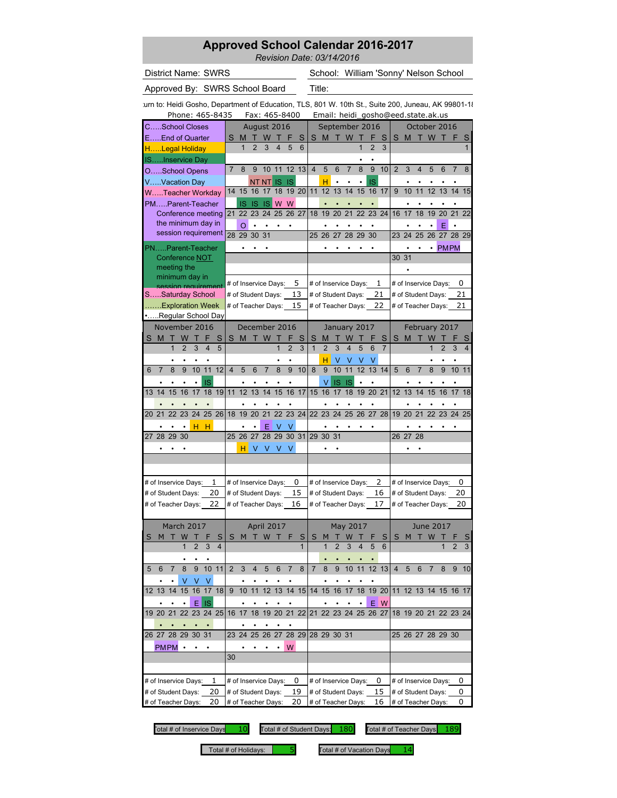*Revision(Date:(03/14/2016*

District Name: SWRS

School: William 'Sonny' Nelson School

Approved By: SWRS School Board Title:

Phone: 465-8435 Fax: 465-8400 Email: heidi\_gosho@eed.state.ak.us rurn to: Heidi Gosho, Department of Education, TLS, 801 W. 10th St., Suite 200, Juneau, AK 99801-18

| August 2016<br>September 2016<br>October 2016<br>CSchool Closes<br>W<br>EEnd of Quarter<br>S<br>т<br>W<br>S<br>M<br>Т<br>F<br>S<br>S<br>M<br>T W T<br>M<br>Т<br>F<br>S<br>П<br>F<br>1<br>$\overline{2}$<br>3<br>5<br>1<br>$\overline{2}$<br>3<br>6<br>4<br>HLegal Holiday<br>ISInservice Day<br>11<br>12<br>13<br>$\overline{4}$<br>5<br>6<br>8<br>9<br>10<br>$\overline{2}$<br>3<br>$\overline{\mathbf{4}}$<br>5<br>7<br>8<br>9<br>10<br>7<br>6<br>7<br>OSchool Opens<br>VVacation Day<br><b>NT NT</b><br>н<br>1S<br>1S<br>IS<br>$\bullet$<br>19 20<br>12<br>13<br>17<br>9<br>12<br>14<br>15<br>16<br>18<br>11<br>14<br>15<br>16<br>10<br>11<br>13<br>14<br>17<br>WTeacher Workday<br>W<br>PMParent-Teacher<br>IS IS<br>W<br>-IS<br>$\bullet$<br>23<br>24<br>25<br>26<br>21<br>22<br>23 24<br>17<br>18<br>19<br>20<br>21<br>22<br>27<br>19<br>20<br>16<br>Conference meeting<br>21<br>18<br>the minimum day in<br>O<br>F<br>session requirement<br>25<br>26 27 28 29<br>28 29 30<br>31<br>27<br>28<br>30<br>25 26<br>29<br>23<br>24<br>PNParent-Teacher<br><b>PMPM</b><br>٠<br>30 31<br>Conference NOT<br>meeting the<br>minimum day in<br>5<br>0<br># of Inservice Days:<br># of Inservice Days:<br>1<br># of Inservice Days:<br>session requirement<br>13<br>21<br>21<br>SSaturday School<br># of Student Days:<br># of Student Days:<br># of Student Days:<br>Exploration Week<br>15<br>22<br># of Teacher Days:<br># of Teacher Days:<br># of Teacher Days:<br>21<br>Regular School Day<br>December 2016<br>November 2016<br>January 2017<br>February 2017<br>т<br>w<br>F<br>S<br>W<br>S<br>M<br>п<br>S<br>M<br>т<br>п<br>S<br>S<br>S<br>S<br>M<br>w<br>М<br>W<br>3<br>5<br>$\overline{1}$<br>$\overline{2}$<br>3<br>4<br>5<br>1<br>$\overline{2}$<br>3<br>$\mathbf{1}$<br>$\overline{2}$<br>4<br>6<br>1<br>$\overline{2}$<br>3<br>$\overline{7}$<br>H<br>V<br>٧<br>V<br>v<br>12<br>9<br>10<br>10<br>11<br>12<br>13 14<br>9<br>10<br>11<br>$\overline{4}$<br>5<br>6<br>$\overline{7}$<br>8<br>9<br>5<br>7<br>8<br>9<br>10<br>7<br>8<br>8<br>6<br>6<br>IS<br>v<br><b>IS</b><br>-IS<br>13<br>18<br>19<br>11<br>12<br>14<br>16<br>17<br>15<br>18<br>19<br>20<br>21<br>12<br>13<br>14<br>15<br>14<br>15<br>16<br>17<br>15<br>16<br>17<br>16<br>17<br>13<br>23<br>24<br>25 26<br>18 19<br>20<br>21<br>22 23 24<br>22 23<br>24<br>25<br>26 27<br>28<br>19 20<br>21<br>22<br>23<br>24 25<br>20 21<br>22<br>н<br>н<br>27<br>28<br>29<br>30<br>25 26<br>28<br>29<br>30<br>31<br>29 30<br>31<br>26 27<br>28<br>27<br>н<br>V<br>V<br>V<br>V<br>0<br>1<br>2<br>0<br># of Inservice Days:<br># of Inservice Days:<br># of Inservice Days:<br># of Inservice Days:<br>20<br>15<br>16<br>20<br># of Student Days:<br># of Student Days:<br># of Student Days:<br># of Student Days:<br>22<br>17<br>20<br># of Teacher Days:<br># of Teacher Days:<br>16<br># of Teacher Days:<br># of Teacher Days:<br>March 2017<br>April 2017<br>May 2017<br>June 2017<br>S<br>S<br>M<br>W<br>S<br>S<br>S<br>M<br>W<br>s<br>м<br>3<br>3<br>4<br>5<br>$\overline{\mathcal{L}}$<br>$\overline{2}$<br>$\overline{4}$<br>$\overline{1}$<br>1<br>2<br>6<br>1<br>5<br>6<br>$\prime$<br>8<br>9<br>10 11<br>$\mathbf{z}$<br>3<br>4<br>$\mathbf{p}$<br>6<br>8<br>$\prime$<br>8<br>9<br>10 11 12 13<br>4<br>$\ddot{\circ}$<br>6<br>8<br>9<br>V<br>V<br>V<br>15<br>14<br>15<br>16 17<br>19 20<br>14<br>16<br>17 18<br>9<br>10<br>11<br>12<br>13<br>15<br>14<br>18<br>11 12 13 14 15 16 17<br>12 <sup>2</sup><br>13<br>Ε<br>IS<br>E W<br>21 22<br>22 23 24 25<br>19 20 21<br>22 23<br>24 25<br>18<br>19<br>20<br>21<br>26 27<br>18 19 20 21 22 23 24<br>16<br>17<br>26 27 28 29 30 31<br>23 24 25 26 27<br>28 29<br>28 29 30 31<br>25 26 27 28 29 30<br><b>PMPM</b><br>W<br>$\bullet$<br>30<br>0<br>1<br>0<br>0<br># of Inservice Days:<br># of Inservice Days:<br># of Inservice Days:<br># of Inservice Days:<br>20<br>19<br>15<br># of Student Days:<br># of Student Days:<br># of Student Days:<br># of Student Days:<br>0 |                          |  |  | rnone. |  |  | 403-0433 |                          |  |  |  | гах. 40э-о4ии |  |                          |  | Eiliaii. Heiui_yosho@eeu.state.ak.us |  |  |  |  |  |                         |  |  |  |  |  |                         |  |  |  |  |
|--------------------------------------------------------------------------------------------------------------------------------------------------------------------------------------------------------------------------------------------------------------------------------------------------------------------------------------------------------------------------------------------------------------------------------------------------------------------------------------------------------------------------------------------------------------------------------------------------------------------------------------------------------------------------------------------------------------------------------------------------------------------------------------------------------------------------------------------------------------------------------------------------------------------------------------------------------------------------------------------------------------------------------------------------------------------------------------------------------------------------------------------------------------------------------------------------------------------------------------------------------------------------------------------------------------------------------------------------------------------------------------------------------------------------------------------------------------------------------------------------------------------------------------------------------------------------------------------------------------------------------------------------------------------------------------------------------------------------------------------------------------------------------------------------------------------------------------------------------------------------------------------------------------------------------------------------------------------------------------------------------------------------------------------------------------------------------------------------------------------------------------------------------------------------------------------------------------------------------------------------------------------------------------------------------------------------------------------------------------------------------------------------------------------------------------------------------------------------------------------------------------------------------------------------------------------------------------------------------------------------------------------------------------------------------------------------------------------------------------------------------------------------------------------------------------------------------------------------------------------------------------------------------------------------------------------------------------------------------------------------------------------------------------------------------------------------------------------------------------------------------------------------------------------------------------------------------------------------------------------------------------------------------------------------------------------------------------------------------------------------------------------------------------------------------------------------------------------------------------------------------------------------------------------------------------------------------------------------------------------------------------------------------------------------------------------------------------------------------------------------------------------------------------------------------------------------------------------------------------------------------------------------------------------------------------------------------------------------------------------|--------------------------|--|--|--------|--|--|----------|--------------------------|--|--|--|---------------|--|--------------------------|--|--------------------------------------|--|--|--|--|--|-------------------------|--|--|--|--|--|-------------------------|--|--|--|--|
|                                                                                                                                                                                                                                                                                                                                                                                                                                                                                                                                                                                                                                                                                                                                                                                                                                                                                                                                                                                                                                                                                                                                                                                                                                                                                                                                                                                                                                                                                                                                                                                                                                                                                                                                                                                                                                                                                                                                                                                                                                                                                                                                                                                                                                                                                                                                                                                                                                                                                                                                                                                                                                                                                                                                                                                                                                                                                                                                                                                                                                                                                                                                                                                                                                                                                                                                                                                                                                                                                                                                                                                                                                                                                                                                                                                                                                                                                                                                                                                            |                          |  |  |        |  |  |          |                          |  |  |  |               |  |                          |  |                                      |  |  |  |  |  |                         |  |  |  |  |  |                         |  |  |  |  |
|                                                                                                                                                                                                                                                                                                                                                                                                                                                                                                                                                                                                                                                                                                                                                                                                                                                                                                                                                                                                                                                                                                                                                                                                                                                                                                                                                                                                                                                                                                                                                                                                                                                                                                                                                                                                                                                                                                                                                                                                                                                                                                                                                                                                                                                                                                                                                                                                                                                                                                                                                                                                                                                                                                                                                                                                                                                                                                                                                                                                                                                                                                                                                                                                                                                                                                                                                                                                                                                                                                                                                                                                                                                                                                                                                                                                                                                                                                                                                                                            |                          |  |  |        |  |  |          |                          |  |  |  |               |  |                          |  |                                      |  |  |  |  |  |                         |  |  |  |  |  | S                       |  |  |  |  |
|                                                                                                                                                                                                                                                                                                                                                                                                                                                                                                                                                                                                                                                                                                                                                                                                                                                                                                                                                                                                                                                                                                                                                                                                                                                                                                                                                                                                                                                                                                                                                                                                                                                                                                                                                                                                                                                                                                                                                                                                                                                                                                                                                                                                                                                                                                                                                                                                                                                                                                                                                                                                                                                                                                                                                                                                                                                                                                                                                                                                                                                                                                                                                                                                                                                                                                                                                                                                                                                                                                                                                                                                                                                                                                                                                                                                                                                                                                                                                                                            |                          |  |  |        |  |  |          |                          |  |  |  |               |  |                          |  |                                      |  |  |  |  |  |                         |  |  |  |  |  |                         |  |  |  |  |
|                                                                                                                                                                                                                                                                                                                                                                                                                                                                                                                                                                                                                                                                                                                                                                                                                                                                                                                                                                                                                                                                                                                                                                                                                                                                                                                                                                                                                                                                                                                                                                                                                                                                                                                                                                                                                                                                                                                                                                                                                                                                                                                                                                                                                                                                                                                                                                                                                                                                                                                                                                                                                                                                                                                                                                                                                                                                                                                                                                                                                                                                                                                                                                                                                                                                                                                                                                                                                                                                                                                                                                                                                                                                                                                                                                                                                                                                                                                                                                                            |                          |  |  |        |  |  |          |                          |  |  |  |               |  |                          |  |                                      |  |  |  |  |  |                         |  |  |  |  |  |                         |  |  |  |  |
|                                                                                                                                                                                                                                                                                                                                                                                                                                                                                                                                                                                                                                                                                                                                                                                                                                                                                                                                                                                                                                                                                                                                                                                                                                                                                                                                                                                                                                                                                                                                                                                                                                                                                                                                                                                                                                                                                                                                                                                                                                                                                                                                                                                                                                                                                                                                                                                                                                                                                                                                                                                                                                                                                                                                                                                                                                                                                                                                                                                                                                                                                                                                                                                                                                                                                                                                                                                                                                                                                                                                                                                                                                                                                                                                                                                                                                                                                                                                                                                            |                          |  |  |        |  |  |          |                          |  |  |  |               |  |                          |  |                                      |  |  |  |  |  |                         |  |  |  |  |  | 8                       |  |  |  |  |
|                                                                                                                                                                                                                                                                                                                                                                                                                                                                                                                                                                                                                                                                                                                                                                                                                                                                                                                                                                                                                                                                                                                                                                                                                                                                                                                                                                                                                                                                                                                                                                                                                                                                                                                                                                                                                                                                                                                                                                                                                                                                                                                                                                                                                                                                                                                                                                                                                                                                                                                                                                                                                                                                                                                                                                                                                                                                                                                                                                                                                                                                                                                                                                                                                                                                                                                                                                                                                                                                                                                                                                                                                                                                                                                                                                                                                                                                                                                                                                                            |                          |  |  |        |  |  |          |                          |  |  |  |               |  |                          |  |                                      |  |  |  |  |  |                         |  |  |  |  |  |                         |  |  |  |  |
|                                                                                                                                                                                                                                                                                                                                                                                                                                                                                                                                                                                                                                                                                                                                                                                                                                                                                                                                                                                                                                                                                                                                                                                                                                                                                                                                                                                                                                                                                                                                                                                                                                                                                                                                                                                                                                                                                                                                                                                                                                                                                                                                                                                                                                                                                                                                                                                                                                                                                                                                                                                                                                                                                                                                                                                                                                                                                                                                                                                                                                                                                                                                                                                                                                                                                                                                                                                                                                                                                                                                                                                                                                                                                                                                                                                                                                                                                                                                                                                            |                          |  |  |        |  |  |          |                          |  |  |  |               |  |                          |  |                                      |  |  |  |  |  |                         |  |  |  |  |  | 15                      |  |  |  |  |
|                                                                                                                                                                                                                                                                                                                                                                                                                                                                                                                                                                                                                                                                                                                                                                                                                                                                                                                                                                                                                                                                                                                                                                                                                                                                                                                                                                                                                                                                                                                                                                                                                                                                                                                                                                                                                                                                                                                                                                                                                                                                                                                                                                                                                                                                                                                                                                                                                                                                                                                                                                                                                                                                                                                                                                                                                                                                                                                                                                                                                                                                                                                                                                                                                                                                                                                                                                                                                                                                                                                                                                                                                                                                                                                                                                                                                                                                                                                                                                                            |                          |  |  |        |  |  |          |                          |  |  |  |               |  |                          |  |                                      |  |  |  |  |  |                         |  |  |  |  |  |                         |  |  |  |  |
|                                                                                                                                                                                                                                                                                                                                                                                                                                                                                                                                                                                                                                                                                                                                                                                                                                                                                                                                                                                                                                                                                                                                                                                                                                                                                                                                                                                                                                                                                                                                                                                                                                                                                                                                                                                                                                                                                                                                                                                                                                                                                                                                                                                                                                                                                                                                                                                                                                                                                                                                                                                                                                                                                                                                                                                                                                                                                                                                                                                                                                                                                                                                                                                                                                                                                                                                                                                                                                                                                                                                                                                                                                                                                                                                                                                                                                                                                                                                                                                            |                          |  |  |        |  |  |          |                          |  |  |  |               |  |                          |  |                                      |  |  |  |  |  |                         |  |  |  |  |  | 22                      |  |  |  |  |
|                                                                                                                                                                                                                                                                                                                                                                                                                                                                                                                                                                                                                                                                                                                                                                                                                                                                                                                                                                                                                                                                                                                                                                                                                                                                                                                                                                                                                                                                                                                                                                                                                                                                                                                                                                                                                                                                                                                                                                                                                                                                                                                                                                                                                                                                                                                                                                                                                                                                                                                                                                                                                                                                                                                                                                                                                                                                                                                                                                                                                                                                                                                                                                                                                                                                                                                                                                                                                                                                                                                                                                                                                                                                                                                                                                                                                                                                                                                                                                                            |                          |  |  |        |  |  |          |                          |  |  |  |               |  |                          |  |                                      |  |  |  |  |  |                         |  |  |  |  |  |                         |  |  |  |  |
|                                                                                                                                                                                                                                                                                                                                                                                                                                                                                                                                                                                                                                                                                                                                                                                                                                                                                                                                                                                                                                                                                                                                                                                                                                                                                                                                                                                                                                                                                                                                                                                                                                                                                                                                                                                                                                                                                                                                                                                                                                                                                                                                                                                                                                                                                                                                                                                                                                                                                                                                                                                                                                                                                                                                                                                                                                                                                                                                                                                                                                                                                                                                                                                                                                                                                                                                                                                                                                                                                                                                                                                                                                                                                                                                                                                                                                                                                                                                                                                            |                          |  |  |        |  |  |          |                          |  |  |  |               |  |                          |  |                                      |  |  |  |  |  |                         |  |  |  |  |  |                         |  |  |  |  |
|                                                                                                                                                                                                                                                                                                                                                                                                                                                                                                                                                                                                                                                                                                                                                                                                                                                                                                                                                                                                                                                                                                                                                                                                                                                                                                                                                                                                                                                                                                                                                                                                                                                                                                                                                                                                                                                                                                                                                                                                                                                                                                                                                                                                                                                                                                                                                                                                                                                                                                                                                                                                                                                                                                                                                                                                                                                                                                                                                                                                                                                                                                                                                                                                                                                                                                                                                                                                                                                                                                                                                                                                                                                                                                                                                                                                                                                                                                                                                                                            |                          |  |  |        |  |  |          |                          |  |  |  |               |  |                          |  |                                      |  |  |  |  |  |                         |  |  |  |  |  |                         |  |  |  |  |
|                                                                                                                                                                                                                                                                                                                                                                                                                                                                                                                                                                                                                                                                                                                                                                                                                                                                                                                                                                                                                                                                                                                                                                                                                                                                                                                                                                                                                                                                                                                                                                                                                                                                                                                                                                                                                                                                                                                                                                                                                                                                                                                                                                                                                                                                                                                                                                                                                                                                                                                                                                                                                                                                                                                                                                                                                                                                                                                                                                                                                                                                                                                                                                                                                                                                                                                                                                                                                                                                                                                                                                                                                                                                                                                                                                                                                                                                                                                                                                                            |                          |  |  |        |  |  |          |                          |  |  |  |               |  |                          |  |                                      |  |  |  |  |  |                         |  |  |  |  |  |                         |  |  |  |  |
|                                                                                                                                                                                                                                                                                                                                                                                                                                                                                                                                                                                                                                                                                                                                                                                                                                                                                                                                                                                                                                                                                                                                                                                                                                                                                                                                                                                                                                                                                                                                                                                                                                                                                                                                                                                                                                                                                                                                                                                                                                                                                                                                                                                                                                                                                                                                                                                                                                                                                                                                                                                                                                                                                                                                                                                                                                                                                                                                                                                                                                                                                                                                                                                                                                                                                                                                                                                                                                                                                                                                                                                                                                                                                                                                                                                                                                                                                                                                                                                            |                          |  |  |        |  |  |          |                          |  |  |  |               |  |                          |  |                                      |  |  |  |  |  |                         |  |  |  |  |  |                         |  |  |  |  |
|                                                                                                                                                                                                                                                                                                                                                                                                                                                                                                                                                                                                                                                                                                                                                                                                                                                                                                                                                                                                                                                                                                                                                                                                                                                                                                                                                                                                                                                                                                                                                                                                                                                                                                                                                                                                                                                                                                                                                                                                                                                                                                                                                                                                                                                                                                                                                                                                                                                                                                                                                                                                                                                                                                                                                                                                                                                                                                                                                                                                                                                                                                                                                                                                                                                                                                                                                                                                                                                                                                                                                                                                                                                                                                                                                                                                                                                                                                                                                                                            |                          |  |  |        |  |  |          |                          |  |  |  |               |  |                          |  |                                      |  |  |  |  |  |                         |  |  |  |  |  |                         |  |  |  |  |
|                                                                                                                                                                                                                                                                                                                                                                                                                                                                                                                                                                                                                                                                                                                                                                                                                                                                                                                                                                                                                                                                                                                                                                                                                                                                                                                                                                                                                                                                                                                                                                                                                                                                                                                                                                                                                                                                                                                                                                                                                                                                                                                                                                                                                                                                                                                                                                                                                                                                                                                                                                                                                                                                                                                                                                                                                                                                                                                                                                                                                                                                                                                                                                                                                                                                                                                                                                                                                                                                                                                                                                                                                                                                                                                                                                                                                                                                                                                                                                                            |                          |  |  |        |  |  |          |                          |  |  |  |               |  |                          |  |                                      |  |  |  |  |  |                         |  |  |  |  |  |                         |  |  |  |  |
|                                                                                                                                                                                                                                                                                                                                                                                                                                                                                                                                                                                                                                                                                                                                                                                                                                                                                                                                                                                                                                                                                                                                                                                                                                                                                                                                                                                                                                                                                                                                                                                                                                                                                                                                                                                                                                                                                                                                                                                                                                                                                                                                                                                                                                                                                                                                                                                                                                                                                                                                                                                                                                                                                                                                                                                                                                                                                                                                                                                                                                                                                                                                                                                                                                                                                                                                                                                                                                                                                                                                                                                                                                                                                                                                                                                                                                                                                                                                                                                            |                          |  |  |        |  |  |          |                          |  |  |  |               |  |                          |  |                                      |  |  |  |  |  |                         |  |  |  |  |  |                         |  |  |  |  |
|                                                                                                                                                                                                                                                                                                                                                                                                                                                                                                                                                                                                                                                                                                                                                                                                                                                                                                                                                                                                                                                                                                                                                                                                                                                                                                                                                                                                                                                                                                                                                                                                                                                                                                                                                                                                                                                                                                                                                                                                                                                                                                                                                                                                                                                                                                                                                                                                                                                                                                                                                                                                                                                                                                                                                                                                                                                                                                                                                                                                                                                                                                                                                                                                                                                                                                                                                                                                                                                                                                                                                                                                                                                                                                                                                                                                                                                                                                                                                                                            |                          |  |  |        |  |  |          |                          |  |  |  |               |  |                          |  |                                      |  |  |  |  |  |                         |  |  |  |  |  |                         |  |  |  |  |
|                                                                                                                                                                                                                                                                                                                                                                                                                                                                                                                                                                                                                                                                                                                                                                                                                                                                                                                                                                                                                                                                                                                                                                                                                                                                                                                                                                                                                                                                                                                                                                                                                                                                                                                                                                                                                                                                                                                                                                                                                                                                                                                                                                                                                                                                                                                                                                                                                                                                                                                                                                                                                                                                                                                                                                                                                                                                                                                                                                                                                                                                                                                                                                                                                                                                                                                                                                                                                                                                                                                                                                                                                                                                                                                                                                                                                                                                                                                                                                                            |                          |  |  |        |  |  |          |                          |  |  |  |               |  |                          |  |                                      |  |  |  |  |  |                         |  |  |  |  |  |                         |  |  |  |  |
|                                                                                                                                                                                                                                                                                                                                                                                                                                                                                                                                                                                                                                                                                                                                                                                                                                                                                                                                                                                                                                                                                                                                                                                                                                                                                                                                                                                                                                                                                                                                                                                                                                                                                                                                                                                                                                                                                                                                                                                                                                                                                                                                                                                                                                                                                                                                                                                                                                                                                                                                                                                                                                                                                                                                                                                                                                                                                                                                                                                                                                                                                                                                                                                                                                                                                                                                                                                                                                                                                                                                                                                                                                                                                                                                                                                                                                                                                                                                                                                            |                          |  |  |        |  |  |          |                          |  |  |  |               |  |                          |  |                                      |  |  |  |  |  |                         |  |  |  |  |  |                         |  |  |  |  |
|                                                                                                                                                                                                                                                                                                                                                                                                                                                                                                                                                                                                                                                                                                                                                                                                                                                                                                                                                                                                                                                                                                                                                                                                                                                                                                                                                                                                                                                                                                                                                                                                                                                                                                                                                                                                                                                                                                                                                                                                                                                                                                                                                                                                                                                                                                                                                                                                                                                                                                                                                                                                                                                                                                                                                                                                                                                                                                                                                                                                                                                                                                                                                                                                                                                                                                                                                                                                                                                                                                                                                                                                                                                                                                                                                                                                                                                                                                                                                                                            |                          |  |  |        |  |  |          |                          |  |  |  |               |  |                          |  |                                      |  |  |  |  |  |                         |  |  |  |  |  |                         |  |  |  |  |
|                                                                                                                                                                                                                                                                                                                                                                                                                                                                                                                                                                                                                                                                                                                                                                                                                                                                                                                                                                                                                                                                                                                                                                                                                                                                                                                                                                                                                                                                                                                                                                                                                                                                                                                                                                                                                                                                                                                                                                                                                                                                                                                                                                                                                                                                                                                                                                                                                                                                                                                                                                                                                                                                                                                                                                                                                                                                                                                                                                                                                                                                                                                                                                                                                                                                                                                                                                                                                                                                                                                                                                                                                                                                                                                                                                                                                                                                                                                                                                                            |                          |  |  |        |  |  |          |                          |  |  |  |               |  |                          |  |                                      |  |  |  |  |  |                         |  |  |  |  |  | $\overline{\mathbf{4}}$ |  |  |  |  |
|                                                                                                                                                                                                                                                                                                                                                                                                                                                                                                                                                                                                                                                                                                                                                                                                                                                                                                                                                                                                                                                                                                                                                                                                                                                                                                                                                                                                                                                                                                                                                                                                                                                                                                                                                                                                                                                                                                                                                                                                                                                                                                                                                                                                                                                                                                                                                                                                                                                                                                                                                                                                                                                                                                                                                                                                                                                                                                                                                                                                                                                                                                                                                                                                                                                                                                                                                                                                                                                                                                                                                                                                                                                                                                                                                                                                                                                                                                                                                                                            |                          |  |  |        |  |  |          |                          |  |  |  |               |  |                          |  |                                      |  |  |  |  |  |                         |  |  |  |  |  |                         |  |  |  |  |
|                                                                                                                                                                                                                                                                                                                                                                                                                                                                                                                                                                                                                                                                                                                                                                                                                                                                                                                                                                                                                                                                                                                                                                                                                                                                                                                                                                                                                                                                                                                                                                                                                                                                                                                                                                                                                                                                                                                                                                                                                                                                                                                                                                                                                                                                                                                                                                                                                                                                                                                                                                                                                                                                                                                                                                                                                                                                                                                                                                                                                                                                                                                                                                                                                                                                                                                                                                                                                                                                                                                                                                                                                                                                                                                                                                                                                                                                                                                                                                                            |                          |  |  |        |  |  |          |                          |  |  |  |               |  |                          |  |                                      |  |  |  |  |  |                         |  |  |  |  |  | 11                      |  |  |  |  |
|                                                                                                                                                                                                                                                                                                                                                                                                                                                                                                                                                                                                                                                                                                                                                                                                                                                                                                                                                                                                                                                                                                                                                                                                                                                                                                                                                                                                                                                                                                                                                                                                                                                                                                                                                                                                                                                                                                                                                                                                                                                                                                                                                                                                                                                                                                                                                                                                                                                                                                                                                                                                                                                                                                                                                                                                                                                                                                                                                                                                                                                                                                                                                                                                                                                                                                                                                                                                                                                                                                                                                                                                                                                                                                                                                                                                                                                                                                                                                                                            |                          |  |  |        |  |  |          |                          |  |  |  |               |  |                          |  |                                      |  |  |  |  |  |                         |  |  |  |  |  |                         |  |  |  |  |
|                                                                                                                                                                                                                                                                                                                                                                                                                                                                                                                                                                                                                                                                                                                                                                                                                                                                                                                                                                                                                                                                                                                                                                                                                                                                                                                                                                                                                                                                                                                                                                                                                                                                                                                                                                                                                                                                                                                                                                                                                                                                                                                                                                                                                                                                                                                                                                                                                                                                                                                                                                                                                                                                                                                                                                                                                                                                                                                                                                                                                                                                                                                                                                                                                                                                                                                                                                                                                                                                                                                                                                                                                                                                                                                                                                                                                                                                                                                                                                                            |                          |  |  |        |  |  |          |                          |  |  |  |               |  |                          |  |                                      |  |  |  |  |  |                         |  |  |  |  |  | 18                      |  |  |  |  |
|                                                                                                                                                                                                                                                                                                                                                                                                                                                                                                                                                                                                                                                                                                                                                                                                                                                                                                                                                                                                                                                                                                                                                                                                                                                                                                                                                                                                                                                                                                                                                                                                                                                                                                                                                                                                                                                                                                                                                                                                                                                                                                                                                                                                                                                                                                                                                                                                                                                                                                                                                                                                                                                                                                                                                                                                                                                                                                                                                                                                                                                                                                                                                                                                                                                                                                                                                                                                                                                                                                                                                                                                                                                                                                                                                                                                                                                                                                                                                                                            |                          |  |  |        |  |  |          |                          |  |  |  |               |  |                          |  |                                      |  |  |  |  |  |                         |  |  |  |  |  |                         |  |  |  |  |
|                                                                                                                                                                                                                                                                                                                                                                                                                                                                                                                                                                                                                                                                                                                                                                                                                                                                                                                                                                                                                                                                                                                                                                                                                                                                                                                                                                                                                                                                                                                                                                                                                                                                                                                                                                                                                                                                                                                                                                                                                                                                                                                                                                                                                                                                                                                                                                                                                                                                                                                                                                                                                                                                                                                                                                                                                                                                                                                                                                                                                                                                                                                                                                                                                                                                                                                                                                                                                                                                                                                                                                                                                                                                                                                                                                                                                                                                                                                                                                                            |                          |  |  |        |  |  |          |                          |  |  |  |               |  |                          |  |                                      |  |  |  |  |  |                         |  |  |  |  |  |                         |  |  |  |  |
|                                                                                                                                                                                                                                                                                                                                                                                                                                                                                                                                                                                                                                                                                                                                                                                                                                                                                                                                                                                                                                                                                                                                                                                                                                                                                                                                                                                                                                                                                                                                                                                                                                                                                                                                                                                                                                                                                                                                                                                                                                                                                                                                                                                                                                                                                                                                                                                                                                                                                                                                                                                                                                                                                                                                                                                                                                                                                                                                                                                                                                                                                                                                                                                                                                                                                                                                                                                                                                                                                                                                                                                                                                                                                                                                                                                                                                                                                                                                                                                            |                          |  |  |        |  |  |          |                          |  |  |  |               |  |                          |  |                                      |  |  |  |  |  |                         |  |  |  |  |  |                         |  |  |  |  |
|                                                                                                                                                                                                                                                                                                                                                                                                                                                                                                                                                                                                                                                                                                                                                                                                                                                                                                                                                                                                                                                                                                                                                                                                                                                                                                                                                                                                                                                                                                                                                                                                                                                                                                                                                                                                                                                                                                                                                                                                                                                                                                                                                                                                                                                                                                                                                                                                                                                                                                                                                                                                                                                                                                                                                                                                                                                                                                                                                                                                                                                                                                                                                                                                                                                                                                                                                                                                                                                                                                                                                                                                                                                                                                                                                                                                                                                                                                                                                                                            |                          |  |  |        |  |  |          |                          |  |  |  |               |  |                          |  |                                      |  |  |  |  |  |                         |  |  |  |  |  |                         |  |  |  |  |
|                                                                                                                                                                                                                                                                                                                                                                                                                                                                                                                                                                                                                                                                                                                                                                                                                                                                                                                                                                                                                                                                                                                                                                                                                                                                                                                                                                                                                                                                                                                                                                                                                                                                                                                                                                                                                                                                                                                                                                                                                                                                                                                                                                                                                                                                                                                                                                                                                                                                                                                                                                                                                                                                                                                                                                                                                                                                                                                                                                                                                                                                                                                                                                                                                                                                                                                                                                                                                                                                                                                                                                                                                                                                                                                                                                                                                                                                                                                                                                                            |                          |  |  |        |  |  |          |                          |  |  |  |               |  |                          |  |                                      |  |  |  |  |  |                         |  |  |  |  |  |                         |  |  |  |  |
|                                                                                                                                                                                                                                                                                                                                                                                                                                                                                                                                                                                                                                                                                                                                                                                                                                                                                                                                                                                                                                                                                                                                                                                                                                                                                                                                                                                                                                                                                                                                                                                                                                                                                                                                                                                                                                                                                                                                                                                                                                                                                                                                                                                                                                                                                                                                                                                                                                                                                                                                                                                                                                                                                                                                                                                                                                                                                                                                                                                                                                                                                                                                                                                                                                                                                                                                                                                                                                                                                                                                                                                                                                                                                                                                                                                                                                                                                                                                                                                            |                          |  |  |        |  |  |          |                          |  |  |  |               |  |                          |  |                                      |  |  |  |  |  |                         |  |  |  |  |  |                         |  |  |  |  |
|                                                                                                                                                                                                                                                                                                                                                                                                                                                                                                                                                                                                                                                                                                                                                                                                                                                                                                                                                                                                                                                                                                                                                                                                                                                                                                                                                                                                                                                                                                                                                                                                                                                                                                                                                                                                                                                                                                                                                                                                                                                                                                                                                                                                                                                                                                                                                                                                                                                                                                                                                                                                                                                                                                                                                                                                                                                                                                                                                                                                                                                                                                                                                                                                                                                                                                                                                                                                                                                                                                                                                                                                                                                                                                                                                                                                                                                                                                                                                                                            |                          |  |  |        |  |  |          |                          |  |  |  |               |  |                          |  |                                      |  |  |  |  |  |                         |  |  |  |  |  |                         |  |  |  |  |
|                                                                                                                                                                                                                                                                                                                                                                                                                                                                                                                                                                                                                                                                                                                                                                                                                                                                                                                                                                                                                                                                                                                                                                                                                                                                                                                                                                                                                                                                                                                                                                                                                                                                                                                                                                                                                                                                                                                                                                                                                                                                                                                                                                                                                                                                                                                                                                                                                                                                                                                                                                                                                                                                                                                                                                                                                                                                                                                                                                                                                                                                                                                                                                                                                                                                                                                                                                                                                                                                                                                                                                                                                                                                                                                                                                                                                                                                                                                                                                                            |                          |  |  |        |  |  |          |                          |  |  |  |               |  |                          |  |                                      |  |  |  |  |  |                         |  |  |  |  |  |                         |  |  |  |  |
|                                                                                                                                                                                                                                                                                                                                                                                                                                                                                                                                                                                                                                                                                                                                                                                                                                                                                                                                                                                                                                                                                                                                                                                                                                                                                                                                                                                                                                                                                                                                                                                                                                                                                                                                                                                                                                                                                                                                                                                                                                                                                                                                                                                                                                                                                                                                                                                                                                                                                                                                                                                                                                                                                                                                                                                                                                                                                                                                                                                                                                                                                                                                                                                                                                                                                                                                                                                                                                                                                                                                                                                                                                                                                                                                                                                                                                                                                                                                                                                            |                          |  |  |        |  |  |          |                          |  |  |  |               |  |                          |  |                                      |  |  |  |  |  |                         |  |  |  |  |  |                         |  |  |  |  |
|                                                                                                                                                                                                                                                                                                                                                                                                                                                                                                                                                                                                                                                                                                                                                                                                                                                                                                                                                                                                                                                                                                                                                                                                                                                                                                                                                                                                                                                                                                                                                                                                                                                                                                                                                                                                                                                                                                                                                                                                                                                                                                                                                                                                                                                                                                                                                                                                                                                                                                                                                                                                                                                                                                                                                                                                                                                                                                                                                                                                                                                                                                                                                                                                                                                                                                                                                                                                                                                                                                                                                                                                                                                                                                                                                                                                                                                                                                                                                                                            |                          |  |  |        |  |  |          |                          |  |  |  |               |  |                          |  |                                      |  |  |  |  |  |                         |  |  |  |  |  |                         |  |  |  |  |
|                                                                                                                                                                                                                                                                                                                                                                                                                                                                                                                                                                                                                                                                                                                                                                                                                                                                                                                                                                                                                                                                                                                                                                                                                                                                                                                                                                                                                                                                                                                                                                                                                                                                                                                                                                                                                                                                                                                                                                                                                                                                                                                                                                                                                                                                                                                                                                                                                                                                                                                                                                                                                                                                                                                                                                                                                                                                                                                                                                                                                                                                                                                                                                                                                                                                                                                                                                                                                                                                                                                                                                                                                                                                                                                                                                                                                                                                                                                                                                                            |                          |  |  |        |  |  |          |                          |  |  |  |               |  |                          |  |                                      |  |  |  |  |  |                         |  |  |  |  |  |                         |  |  |  |  |
|                                                                                                                                                                                                                                                                                                                                                                                                                                                                                                                                                                                                                                                                                                                                                                                                                                                                                                                                                                                                                                                                                                                                                                                                                                                                                                                                                                                                                                                                                                                                                                                                                                                                                                                                                                                                                                                                                                                                                                                                                                                                                                                                                                                                                                                                                                                                                                                                                                                                                                                                                                                                                                                                                                                                                                                                                                                                                                                                                                                                                                                                                                                                                                                                                                                                                                                                                                                                                                                                                                                                                                                                                                                                                                                                                                                                                                                                                                                                                                                            |                          |  |  |        |  |  |          |                          |  |  |  |               |  |                          |  |                                      |  |  |  |  |  |                         |  |  |  |  |  |                         |  |  |  |  |
|                                                                                                                                                                                                                                                                                                                                                                                                                                                                                                                                                                                                                                                                                                                                                                                                                                                                                                                                                                                                                                                                                                                                                                                                                                                                                                                                                                                                                                                                                                                                                                                                                                                                                                                                                                                                                                                                                                                                                                                                                                                                                                                                                                                                                                                                                                                                                                                                                                                                                                                                                                                                                                                                                                                                                                                                                                                                                                                                                                                                                                                                                                                                                                                                                                                                                                                                                                                                                                                                                                                                                                                                                                                                                                                                                                                                                                                                                                                                                                                            |                          |  |  |        |  |  |          |                          |  |  |  |               |  |                          |  |                                      |  |  |  |  |  |                         |  |  |  |  |  |                         |  |  |  |  |
|                                                                                                                                                                                                                                                                                                                                                                                                                                                                                                                                                                                                                                                                                                                                                                                                                                                                                                                                                                                                                                                                                                                                                                                                                                                                                                                                                                                                                                                                                                                                                                                                                                                                                                                                                                                                                                                                                                                                                                                                                                                                                                                                                                                                                                                                                                                                                                                                                                                                                                                                                                                                                                                                                                                                                                                                                                                                                                                                                                                                                                                                                                                                                                                                                                                                                                                                                                                                                                                                                                                                                                                                                                                                                                                                                                                                                                                                                                                                                                                            |                          |  |  |        |  |  |          |                          |  |  |  |               |  |                          |  |                                      |  |  |  |  |  |                         |  |  |  |  |  | 3                       |  |  |  |  |
|                                                                                                                                                                                                                                                                                                                                                                                                                                                                                                                                                                                                                                                                                                                                                                                                                                                                                                                                                                                                                                                                                                                                                                                                                                                                                                                                                                                                                                                                                                                                                                                                                                                                                                                                                                                                                                                                                                                                                                                                                                                                                                                                                                                                                                                                                                                                                                                                                                                                                                                                                                                                                                                                                                                                                                                                                                                                                                                                                                                                                                                                                                                                                                                                                                                                                                                                                                                                                                                                                                                                                                                                                                                                                                                                                                                                                                                                                                                                                                                            |                          |  |  |        |  |  |          |                          |  |  |  |               |  |                          |  |                                      |  |  |  |  |  |                         |  |  |  |  |  |                         |  |  |  |  |
|                                                                                                                                                                                                                                                                                                                                                                                                                                                                                                                                                                                                                                                                                                                                                                                                                                                                                                                                                                                                                                                                                                                                                                                                                                                                                                                                                                                                                                                                                                                                                                                                                                                                                                                                                                                                                                                                                                                                                                                                                                                                                                                                                                                                                                                                                                                                                                                                                                                                                                                                                                                                                                                                                                                                                                                                                                                                                                                                                                                                                                                                                                                                                                                                                                                                                                                                                                                                                                                                                                                                                                                                                                                                                                                                                                                                                                                                                                                                                                                            |                          |  |  |        |  |  |          |                          |  |  |  |               |  |                          |  |                                      |  |  |  |  |  |                         |  |  |  |  |  |                         |  |  |  |  |
|                                                                                                                                                                                                                                                                                                                                                                                                                                                                                                                                                                                                                                                                                                                                                                                                                                                                                                                                                                                                                                                                                                                                                                                                                                                                                                                                                                                                                                                                                                                                                                                                                                                                                                                                                                                                                                                                                                                                                                                                                                                                                                                                                                                                                                                                                                                                                                                                                                                                                                                                                                                                                                                                                                                                                                                                                                                                                                                                                                                                                                                                                                                                                                                                                                                                                                                                                                                                                                                                                                                                                                                                                                                                                                                                                                                                                                                                                                                                                                                            |                          |  |  |        |  |  |          |                          |  |  |  |               |  |                          |  |                                      |  |  |  |  |  |                         |  |  |  |  |  | 10                      |  |  |  |  |
|                                                                                                                                                                                                                                                                                                                                                                                                                                                                                                                                                                                                                                                                                                                                                                                                                                                                                                                                                                                                                                                                                                                                                                                                                                                                                                                                                                                                                                                                                                                                                                                                                                                                                                                                                                                                                                                                                                                                                                                                                                                                                                                                                                                                                                                                                                                                                                                                                                                                                                                                                                                                                                                                                                                                                                                                                                                                                                                                                                                                                                                                                                                                                                                                                                                                                                                                                                                                                                                                                                                                                                                                                                                                                                                                                                                                                                                                                                                                                                                            |                          |  |  |        |  |  |          |                          |  |  |  |               |  |                          |  |                                      |  |  |  |  |  |                         |  |  |  |  |  |                         |  |  |  |  |
|                                                                                                                                                                                                                                                                                                                                                                                                                                                                                                                                                                                                                                                                                                                                                                                                                                                                                                                                                                                                                                                                                                                                                                                                                                                                                                                                                                                                                                                                                                                                                                                                                                                                                                                                                                                                                                                                                                                                                                                                                                                                                                                                                                                                                                                                                                                                                                                                                                                                                                                                                                                                                                                                                                                                                                                                                                                                                                                                                                                                                                                                                                                                                                                                                                                                                                                                                                                                                                                                                                                                                                                                                                                                                                                                                                                                                                                                                                                                                                                            |                          |  |  |        |  |  |          |                          |  |  |  |               |  |                          |  |                                      |  |  |  |  |  |                         |  |  |  |  |  |                         |  |  |  |  |
|                                                                                                                                                                                                                                                                                                                                                                                                                                                                                                                                                                                                                                                                                                                                                                                                                                                                                                                                                                                                                                                                                                                                                                                                                                                                                                                                                                                                                                                                                                                                                                                                                                                                                                                                                                                                                                                                                                                                                                                                                                                                                                                                                                                                                                                                                                                                                                                                                                                                                                                                                                                                                                                                                                                                                                                                                                                                                                                                                                                                                                                                                                                                                                                                                                                                                                                                                                                                                                                                                                                                                                                                                                                                                                                                                                                                                                                                                                                                                                                            |                          |  |  |        |  |  |          |                          |  |  |  |               |  |                          |  |                                      |  |  |  |  |  |                         |  |  |  |  |  |                         |  |  |  |  |
|                                                                                                                                                                                                                                                                                                                                                                                                                                                                                                                                                                                                                                                                                                                                                                                                                                                                                                                                                                                                                                                                                                                                                                                                                                                                                                                                                                                                                                                                                                                                                                                                                                                                                                                                                                                                                                                                                                                                                                                                                                                                                                                                                                                                                                                                                                                                                                                                                                                                                                                                                                                                                                                                                                                                                                                                                                                                                                                                                                                                                                                                                                                                                                                                                                                                                                                                                                                                                                                                                                                                                                                                                                                                                                                                                                                                                                                                                                                                                                                            |                          |  |  |        |  |  |          |                          |  |  |  |               |  |                          |  |                                      |  |  |  |  |  |                         |  |  |  |  |  |                         |  |  |  |  |
|                                                                                                                                                                                                                                                                                                                                                                                                                                                                                                                                                                                                                                                                                                                                                                                                                                                                                                                                                                                                                                                                                                                                                                                                                                                                                                                                                                                                                                                                                                                                                                                                                                                                                                                                                                                                                                                                                                                                                                                                                                                                                                                                                                                                                                                                                                                                                                                                                                                                                                                                                                                                                                                                                                                                                                                                                                                                                                                                                                                                                                                                                                                                                                                                                                                                                                                                                                                                                                                                                                                                                                                                                                                                                                                                                                                                                                                                                                                                                                                            |                          |  |  |        |  |  |          |                          |  |  |  |               |  |                          |  |                                      |  |  |  |  |  |                         |  |  |  |  |  |                         |  |  |  |  |
|                                                                                                                                                                                                                                                                                                                                                                                                                                                                                                                                                                                                                                                                                                                                                                                                                                                                                                                                                                                                                                                                                                                                                                                                                                                                                                                                                                                                                                                                                                                                                                                                                                                                                                                                                                                                                                                                                                                                                                                                                                                                                                                                                                                                                                                                                                                                                                                                                                                                                                                                                                                                                                                                                                                                                                                                                                                                                                                                                                                                                                                                                                                                                                                                                                                                                                                                                                                                                                                                                                                                                                                                                                                                                                                                                                                                                                                                                                                                                                                            |                          |  |  |        |  |  |          |                          |  |  |  |               |  |                          |  |                                      |  |  |  |  |  |                         |  |  |  |  |  |                         |  |  |  |  |
|                                                                                                                                                                                                                                                                                                                                                                                                                                                                                                                                                                                                                                                                                                                                                                                                                                                                                                                                                                                                                                                                                                                                                                                                                                                                                                                                                                                                                                                                                                                                                                                                                                                                                                                                                                                                                                                                                                                                                                                                                                                                                                                                                                                                                                                                                                                                                                                                                                                                                                                                                                                                                                                                                                                                                                                                                                                                                                                                                                                                                                                                                                                                                                                                                                                                                                                                                                                                                                                                                                                                                                                                                                                                                                                                                                                                                                                                                                                                                                                            |                          |  |  |        |  |  |          |                          |  |  |  |               |  |                          |  |                                      |  |  |  |  |  |                         |  |  |  |  |  |                         |  |  |  |  |
|                                                                                                                                                                                                                                                                                                                                                                                                                                                                                                                                                                                                                                                                                                                                                                                                                                                                                                                                                                                                                                                                                                                                                                                                                                                                                                                                                                                                                                                                                                                                                                                                                                                                                                                                                                                                                                                                                                                                                                                                                                                                                                                                                                                                                                                                                                                                                                                                                                                                                                                                                                                                                                                                                                                                                                                                                                                                                                                                                                                                                                                                                                                                                                                                                                                                                                                                                                                                                                                                                                                                                                                                                                                                                                                                                                                                                                                                                                                                                                                            |                          |  |  |        |  |  |          |                          |  |  |  |               |  |                          |  |                                      |  |  |  |  |  |                         |  |  |  |  |  |                         |  |  |  |  |
|                                                                                                                                                                                                                                                                                                                                                                                                                                                                                                                                                                                                                                                                                                                                                                                                                                                                                                                                                                                                                                                                                                                                                                                                                                                                                                                                                                                                                                                                                                                                                                                                                                                                                                                                                                                                                                                                                                                                                                                                                                                                                                                                                                                                                                                                                                                                                                                                                                                                                                                                                                                                                                                                                                                                                                                                                                                                                                                                                                                                                                                                                                                                                                                                                                                                                                                                                                                                                                                                                                                                                                                                                                                                                                                                                                                                                                                                                                                                                                                            |                          |  |  |        |  |  |          |                          |  |  |  |               |  |                          |  |                                      |  |  |  |  |  |                         |  |  |  |  |  |                         |  |  |  |  |
|                                                                                                                                                                                                                                                                                                                                                                                                                                                                                                                                                                                                                                                                                                                                                                                                                                                                                                                                                                                                                                                                                                                                                                                                                                                                                                                                                                                                                                                                                                                                                                                                                                                                                                                                                                                                                                                                                                                                                                                                                                                                                                                                                                                                                                                                                                                                                                                                                                                                                                                                                                                                                                                                                                                                                                                                                                                                                                                                                                                                                                                                                                                                                                                                                                                                                                                                                                                                                                                                                                                                                                                                                                                                                                                                                                                                                                                                                                                                                                                            |                          |  |  |        |  |  |          |                          |  |  |  |               |  |                          |  |                                      |  |  |  |  |  |                         |  |  |  |  |  |                         |  |  |  |  |
|                                                                                                                                                                                                                                                                                                                                                                                                                                                                                                                                                                                                                                                                                                                                                                                                                                                                                                                                                                                                                                                                                                                                                                                                                                                                                                                                                                                                                                                                                                                                                                                                                                                                                                                                                                                                                                                                                                                                                                                                                                                                                                                                                                                                                                                                                                                                                                                                                                                                                                                                                                                                                                                                                                                                                                                                                                                                                                                                                                                                                                                                                                                                                                                                                                                                                                                                                                                                                                                                                                                                                                                                                                                                                                                                                                                                                                                                                                                                                                                            |                          |  |  |        |  |  |          |                          |  |  |  |               |  |                          |  |                                      |  |  |  |  |  |                         |  |  |  |  |  |                         |  |  |  |  |
|                                                                                                                                                                                                                                                                                                                                                                                                                                                                                                                                                                                                                                                                                                                                                                                                                                                                                                                                                                                                                                                                                                                                                                                                                                                                                                                                                                                                                                                                                                                                                                                                                                                                                                                                                                                                                                                                                                                                                                                                                                                                                                                                                                                                                                                                                                                                                                                                                                                                                                                                                                                                                                                                                                                                                                                                                                                                                                                                                                                                                                                                                                                                                                                                                                                                                                                                                                                                                                                                                                                                                                                                                                                                                                                                                                                                                                                                                                                                                                                            | # of Teacher Days:<br>20 |  |  |        |  |  |          | 20<br># of Teacher Days: |  |  |  |               |  | # of Teacher Days:<br>16 |  |                                      |  |  |  |  |  | 0<br># of Teacher Days: |  |  |  |  |  |                         |  |  |  |  |

Total # of Inservice Days 10 Total # of Student Days: 180 Total # of Teacher Days 189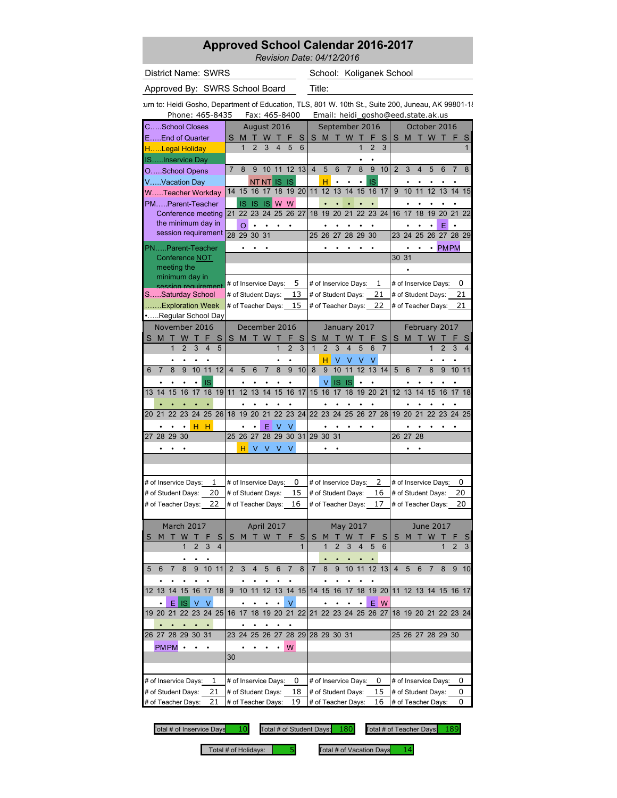*Revision(Date:(04/12/2016*

District Name: SWRS
School:

School: Koliganek School

Approved By: SWRS School Board Title:

Phone: 465-8435 Fax: 465-8400 Email: heidi\_gosho@eed.state.ak.us lurn to: Heidi Gosho, Department of Education, TLS, 801 W. 10th St., Suite 200, Juneau, AK 99801-18

|                 |                                          |                                          | rnone.         |                |            | 403-0433                          |                |                                |                |                | гах. 40э-о4ии            |                           |                     |                          |                      |           |              |    | Eiliaii. Heiui_yosho@eeu.state.ak.us |                |                                                    |                      |                         |                    |                      |                          |                         |  |  |
|-----------------|------------------------------------------|------------------------------------------|----------------|----------------|------------|-----------------------------------|----------------|--------------------------------|----------------|----------------|--------------------------|---------------------------|---------------------|--------------------------|----------------------|-----------|--------------|----|--------------------------------------|----------------|----------------------------------------------------|----------------------|-------------------------|--------------------|----------------------|--------------------------|-------------------------|--|--|
|                 |                                          | CSchool Closes                           |                |                |            |                                   |                |                                |                |                | August 2016              |                           |                     |                          |                      |           |              |    | September 2016                       |                |                                                    |                      |                         |                    | October 2016         |                          |                         |  |  |
|                 |                                          | EEnd of Quarter                          |                |                |            |                                   | S              | M                              | т              | W              | Т                        | F                         | S                   | S                        | M                    | Т         | W            | П  | F                                    | S              | S                                                  | M                    |                         | T W T              |                      | F                        | S                       |  |  |
|                 |                                          | HLegal Holiday                           |                |                |            |                                   |                | 1                              | $\overline{2}$ | 3              | 4                        | 5                         | 6                   |                          |                      |           |              | 1  | $\overline{2}$                       | 3              |                                                    |                      |                         |                    |                      |                          |                         |  |  |
|                 |                                          | ISInservice Day                          |                |                |            |                                   |                |                                |                |                |                          |                           |                     |                          |                      |           |              |    |                                      |                |                                                    |                      |                         |                    |                      |                          |                         |  |  |
|                 |                                          | OSchool Opens                            |                |                |            |                                   | 7              | 8                              | 9              | 10             | 11                       | 12                        | 13                  | $\overline{4}$           | 5                    | 6         | 7            | 8  | 9                                    | 10             | $\overline{2}$                                     | 3                    | $\overline{\mathbf{4}}$ | 5                  | 6                    | 7                        | 8                       |  |  |
|                 |                                          | VVacation Day                            |                |                |            |                                   |                |                                |                | <b>NT NT</b>   | 1S                       | 1S                        |                     |                          | н                    | $\bullet$ |              |    | IS                                   |                |                                                    |                      |                         |                    |                      |                          |                         |  |  |
|                 |                                          | WTeacher Workday                         |                |                |            |                                   | 14             | 15                             | 16             | 17             | 18                       |                           | 19 20               | 11                       | 12                   | 13        | 14           | 15 | 16                                   | 17             | 9                                                  | 10                   | 11                      | 12                 | 13                   | 14                       | 15                      |  |  |
|                 |                                          | PMParent-Teacher                         |                |                |            |                                   |                | IS IS                          |                | -IS            | W                        | W                         |                     |                          |                      |           |              |    |                                      |                |                                                    | $\bullet$            |                         |                    |                      |                          |                         |  |  |
|                 |                                          | Conference meeting<br>the minimum day in |                |                |            |                                   | 21             | 22                             | 23             | 24             | 25                       | 26                        | 27                  | 18                       | 19                   | 20        | 21           | 22 | 23 24                                |                | 16                                                 | 17                   | 18                      | 19                 | 20                   | 21                       | 22                      |  |  |
|                 |                                          | session requirement                      |                |                |            |                                   |                | O                              |                |                |                          |                           |                     |                          |                      |           |              |    |                                      |                |                                                    |                      |                         |                    | F                    |                          |                         |  |  |
|                 |                                          |                                          |                |                |            |                                   |                | 28 29 30                       |                | 31             |                          |                           |                     |                          | 25 26                | 27        | 28           | 29 | 30                                   |                | 23                                                 | 24                   | 25                      |                    | 26 27 28 29          |                          |                         |  |  |
|                 |                                          | PNParent-Teacher                         |                |                |            |                                   |                |                                |                |                |                          |                           |                     |                          |                      |           |              |    |                                      |                | 30 31                                              |                      |                         | ٠                  | <b>PMPM</b>          |                          |                         |  |  |
|                 |                                          | Conference NOT<br>meeting the            |                |                |            |                                   |                |                                |                |                |                          |                           |                     |                          |                      |           |              |    |                                      |                |                                                    |                      |                         |                    |                      |                          |                         |  |  |
|                 |                                          | minimum day in                           |                |                |            |                                   |                |                                |                |                |                          |                           |                     |                          |                      |           |              |    |                                      |                |                                                    |                      |                         |                    |                      |                          |                         |  |  |
|                 |                                          | session requirement                      |                |                |            |                                   |                | # of Inservice Days:           |                |                |                          |                           | 5                   |                          | # of Inservice Days: |           |              |    |                                      | 1              |                                                    |                      |                         |                    | # of Inservice Days: |                          | 0                       |  |  |
|                 |                                          | SSaturday School                         |                |                |            |                                   |                | # of Student Days:             |                |                |                          |                           | 13                  |                          | # of Student Days:   |           |              |    |                                      | 21             |                                                    |                      |                         | # of Student Days: |                      |                          | 21                      |  |  |
|                 |                                          | Exploration Week                         |                |                |            |                                   |                | # of Teacher Days:             |                |                |                          |                           | 15                  |                          | # of Teacher Days:   |           |              |    |                                      | 22             |                                                    |                      |                         | # of Teacher Days: |                      |                          | 21                      |  |  |
|                 |                                          | Regular School Day                       |                |                |            |                                   |                |                                |                |                |                          |                           |                     |                          |                      |           |              |    |                                      |                |                                                    |                      |                         |                    |                      |                          |                         |  |  |
|                 |                                          | November 2016                            |                |                |            |                                   |                |                                |                |                | December 2016            |                           |                     |                          |                      |           | January 2017 |    |                                      |                |                                                    |                      |                         |                    | February 2017        |                          |                         |  |  |
| S               | M                                        | т                                        | w              | п              | F          | S                                 | S              | M                              | т              | W              | п                        |                           | S                   | S                        | M                    |           | w            |    |                                      | S              | S                                                  | M                    |                         | W                  |                      |                          |                         |  |  |
|                 |                                          | $\overline{1}$                           | $\overline{2}$ | 3              | 4          | 5                                 |                |                                |                |                | 1                        | $\overline{2}$            | 3                   | $\mathbf{1}$             | $\overline{2}$       | 3         | 4            | 5  | 6                                    | $\overline{7}$ |                                                    |                      |                         | 1                  | $\overline{2}$       | 3                        | $\overline{\mathbf{4}}$ |  |  |
|                 |                                          |                                          |                |                |            | 12                                | $\overline{4}$ |                                |                | $\overline{7}$ |                          | 9                         |                     |                          | H                    | V         | V            | ٧  | v                                    |                |                                                    |                      |                         |                    |                      |                          |                         |  |  |
| 6               | 7                                        | 8                                        | 9              | 10             | 11         |                                   |                | 5                              | 6              |                | 8                        |                           | 10                  | 8                        | 9                    | 10        | 11           | 12 | 13 14                                |                | 5                                                  | 6                    | 7                       | 8                  | 9                    | 10                       | 11                      |  |  |
|                 |                                          |                                          |                |                | IS         |                                   | 11             | 12                             |                | 14             |                          |                           |                     |                          | v                    | <b>IS</b> | -IS          |    |                                      |                |                                                    |                      | 14                      |                    |                      |                          |                         |  |  |
| 13              | 14                                       | 15                                       | 16             | 17             | 18         | 19                                |                |                                | 13             |                | 15                       | 16                        | 17                  | 15                       | 16                   | 17        | 18           | 19 | 20                                   | 21             | 12                                                 | 13                   |                         | 15                 | 16                   | 17                       | 18                      |  |  |
|                 |                                          |                                          |                |                |            |                                   |                |                                |                |                |                          |                           |                     |                          |                      |           |              |    |                                      |                |                                                    |                      |                         |                    |                      |                          |                         |  |  |
|                 | 20 21                                    | 22                                       | 23             | 24             | 25 26      |                                   |                | 18 19                          | 20             | 21             |                          | 22 23 24                  |                     | 22 23                    |                      | 24        | 25           |    | 26 27                                | 28             | 19 20                                              |                      | 21                      | 22                 | 23                   | 24 25                    |                         |  |  |
|                 |                                          |                                          |                | н              | н          |                                   |                |                                |                |                |                          |                           |                     |                          |                      |           |              |    |                                      |                |                                                    |                      |                         |                    |                      |                          |                         |  |  |
| 27              | 28                                       | 29                                       | 30             |                |            |                                   |                | 25 26                          | 27             | 28             | 29                       | 30                        | 31                  | 29 30                    |                      | 31        |              |    |                                      |                | 26 27                                              |                      | 28                      |                    |                      |                          |                         |  |  |
|                 |                                          |                                          |                |                |            |                                   |                | н                              | V              | V              | V                        | V                         |                     |                          |                      |           |              |    |                                      |                |                                                    |                      |                         |                    |                      |                          |                         |  |  |
|                 |                                          |                                          |                |                |            |                                   |                |                                |                |                |                          |                           |                     |                          |                      |           |              |    |                                      |                |                                                    |                      |                         |                    |                      |                          |                         |  |  |
|                 |                                          |                                          |                |                |            |                                   |                |                                |                |                |                          |                           |                     |                          |                      |           |              |    |                                      |                |                                                    |                      |                         |                    |                      |                          |                         |  |  |
|                 |                                          | # of Inservice Days:                     |                |                |            | 1                                 |                | # of Inservice Days:           |                |                |                          |                           | 0                   |                          | # of Inservice Days: |           |              |    |                                      | 2              |                                                    |                      |                         |                    | # of Inservice Days: |                          | 0                       |  |  |
|                 |                                          | # of Student Days:                       |                |                |            | 20                                |                | # of Student Days:             |                |                |                          |                           | 15                  |                          | # of Student Days:   |           |              |    |                                      | 16             | # of Student Days:                                 |                      |                         |                    |                      |                          | 20                      |  |  |
|                 |                                          | # of Teacher Days:                       |                |                |            | 22                                |                | # of Teacher Days:             |                |                |                          | 16                        |                     |                          | # of Teacher Days:   |           |              |    |                                      | 17             |                                                    |                      |                         |                    | # of Teacher Days:   |                          | 20                      |  |  |
|                 |                                          |                                          |                |                |            |                                   |                |                                |                |                |                          |                           |                     |                          |                      |           |              |    |                                      |                |                                                    |                      |                         |                    |                      |                          |                         |  |  |
|                 |                                          | March 2017                               |                |                |            |                                   |                |                                |                |                | April 2017               |                           |                     |                          |                      |           | May 2017     |    |                                      |                |                                                    |                      |                         |                    | June 2017            |                          |                         |  |  |
| s               |                                          |                                          |                | $\overline{2}$ | 3          | $\overline{4}$                    | S              | M                              |                | W              |                          |                           | S<br>$\overline{1}$ | S                        | м<br>1               | 2         | 3            | 4  | 5                                    | S<br>6         | S                                                  | M                    |                         | W                  | 1                    | $\overline{\mathcal{L}}$ | 3                       |  |  |
|                 |                                          |                                          |                |                |            |                                   |                |                                |                |                |                          |                           |                     |                          |                      |           |              |    |                                      |                |                                                    |                      |                         |                    |                      |                          |                         |  |  |
| 5               | 6                                        |                                          | 8              | 9              | 10         | $\begin{array}{c} 11 \end{array}$ | $\mathbf{z}$   | 3                              | 4              | $\mathbf{p}$   | 6                        |                           | 8                   | $\prime$                 | 8                    | 9         |              |    | 10 11 12 13                          |                | 4                                                  | $\ddot{\circ}$       | 6                       |                    | 8                    | 9                        | 10                      |  |  |
|                 |                                          |                                          |                |                |            |                                   |                |                                |                |                |                          |                           |                     |                          |                      |           |              |    |                                      |                |                                                    |                      |                         |                    |                      |                          |                         |  |  |
| 12 <sup>2</sup> | 13                                       | 14                                       | 15             | 16             | 17 18      |                                   | 9              | 10                             | 11             | 12             | 13                       | 14                        | 15                  | 14                       | 15                   | 16 17     |              | 18 | 19 20                                |                |                                                    |                      |                         |                    | 11 12 13 14 15 16 17 |                          |                         |  |  |
|                 |                                          |                                          |                | V              |            |                                   |                |                                |                |                | $\bullet$                | ٧                         |                     |                          |                      |           |              |    |                                      |                |                                                    |                      |                         |                    |                      |                          |                         |  |  |
|                 | 19 20                                    | Ε<br>21 22 23                            | IS             |                | ٧<br>24 25 |                                   | 16             | 17                             | 18             | 19 20          |                          | 21                        | 22                  | 21                       |                      |           | 22 23 24 25  |    | 26 27                                | E W            |                                                    |                      |                         |                    | 18 19 20 21 22 23 24 |                          |                         |  |  |
|                 |                                          |                                          |                |                |            |                                   |                |                                |                |                |                          |                           |                     |                          |                      |           |              |    |                                      |                |                                                    |                      |                         |                    |                      |                          |                         |  |  |
|                 |                                          | 26 27 28 29 30 31                        |                |                |            |                                   |                | 23 24 25 26 27                 |                |                |                          | 28 29                     |                     |                          | 28 29 30 31          |           |              |    |                                      |                |                                                    |                      |                         |                    | 25 26 27 28 29 30    |                          |                         |  |  |
|                 |                                          |                                          |                |                |            |                                   |                |                                |                |                |                          |                           |                     |                          |                      |           |              |    |                                      |                |                                                    |                      |                         |                    |                      |                          |                         |  |  |
|                 |                                          | <b>PMPM</b>                              | $\bullet$      |                |            |                                   | 30             |                                |                |                |                          | W                         |                     |                          |                      |           |              |    |                                      |                |                                                    |                      |                         |                    |                      |                          |                         |  |  |
|                 |                                          |                                          |                |                |            |                                   |                |                                |                |                |                          |                           |                     |                          |                      |           |              |    |                                      |                |                                                    |                      |                         |                    |                      |                          |                         |  |  |
|                 |                                          |                                          |                |                |            | 1<br>0<br># of Inservice Days:    |                |                                |                |                |                          | 0<br># of Inservice Days: |                     |                          |                      |           |              |    |                                      |                |                                                    |                      |                         |                    | 0                    |                          |                         |  |  |
|                 |                                          | # of Inservice Days:                     |                |                |            | 21<br>18<br># of Student Days:    |                |                                |                |                | 15<br># of Student Days: |                           |                     |                          |                      |           |              |    |                                      |                |                                                    | # of Inservice Days: |                         |                    |                      |                          |                         |  |  |
|                 | # of Student Days:<br># of Teacher Days: |                                          |                |                |            |                                   |                | 19<br>21<br># of Teacher Days: |                |                |                          |                           |                     | 16<br># of Teacher Days: |                      |           |              |    |                                      |                | # of Student Days:<br>0<br>0<br># of Teacher Days: |                      |                         |                    |                      |                          |                         |  |  |
|                 |                                          |                                          |                |                |            |                                   |                |                                |                |                |                          |                           |                     |                          |                      |           |              |    |                                      |                |                                                    |                      |                         |                    |                      |                          |                         |  |  |

Total # of Inservice Days 10 Total # of Student Days: 180 Total # of Teacher Days 189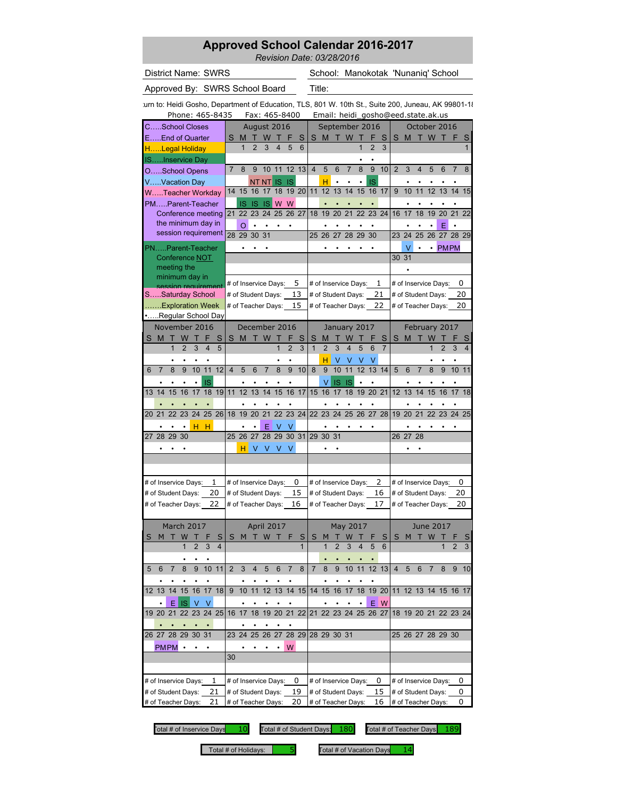*Revision(Date:(03/28/2016*

District Name: SWRS
School:

School: Manokotak 'Nunaniq' School

Approved By: SWRS School Board Title:

Phone: 465-8435 Fax: 465-8400 Email: heidi\_gosho@eed.state.ak.us lurn to: Heidi Gosho, Department of Education, TLS, 801 W. 10th St., Suite 200, Juneau, AK 99801-18

|                          |                          |                     |                |                |                  | Phone: 465-8435 |                      |                          |                      | 68X: 465-8400  |       |                |                          |                |                          |    |                | Email: heidi_gosho@eed.state.ak.us |                |                         |                |                    |                |                    |                      |                |    |
|--------------------------|--------------------------|---------------------|----------------|----------------|------------------|-----------------|----------------------|--------------------------|----------------------|----------------|-------|----------------|--------------------------|----------------|--------------------------|----|----------------|------------------------------------|----------------|-------------------------|----------------|--------------------|----------------|--------------------|----------------------|----------------|----|
|                          | CSchool Closes           |                     |                |                |                  |                 |                      |                          | August 2016          |                |       |                |                          |                |                          |    |                | September 2016                     |                |                         |                |                    |                |                    | October 2016         |                |    |
|                          | EEnd of Quarter          |                     |                |                |                  |                 | S                    | м                        |                      | w              |       |                | S                        | S              | M                        |    | W              |                                    |                | S                       | S              | M                  |                | W                  |                      |                |    |
|                          | HLegal Holiday           |                     |                |                |                  |                 |                      | $\overline{1}$           | $\overline{2}$       | 3              | 4     | 5              | 6                        |                |                          |    |                | 1                                  | $\overline{2}$ | 3                       |                |                    |                |                    |                      |                |    |
|                          | ISInservice Day          |                     |                |                |                  |                 |                      |                          |                      |                |       |                |                          |                |                          |    |                |                                    |                |                         |                |                    |                |                    |                      |                |    |
|                          | OSchool Opens            |                     |                |                |                  |                 | $\overline{7}$       | 8                        | 9                    | 10 11          |       | 12 13          |                          | $\overline{4}$ | 5                        | 6  | $\overline{7}$ | 8                                  | 9              | 10                      | $\overline{2}$ | 3                  | $\overline{4}$ | 5                  | 6                    | 7              | 8  |
|                          | VVacation Day            |                     |                |                |                  |                 |                      |                          | <b>NT NT</b>         |                | IS IS |                |                          |                | н                        |    | $\bullet$      |                                    | IS             |                         |                |                    |                |                    |                      |                |    |
|                          | WTeacher Workday         |                     |                |                |                  |                 | 14                   | 15                       | 16                   | 17             | 18    | 19 20          |                          | 11             | 12                       | 13 | 14             | 15                                 | 16             | 17                      | 9              | 10                 | 11             | 12                 | 13                   | 14             | 15 |
|                          | PMParent-Teacher         |                     |                |                |                  |                 |                      |                          | IS IS IS             |                | W W   |                |                          |                |                          |    |                |                                    |                |                         |                |                    |                |                    |                      |                |    |
|                          |                          | Conference meeting  |                |                |                  |                 | 21                   | 22                       | 23                   | 24             | 25    | 26             | 27                       | 18             | 19                       | 20 | 21             | 22                                 | 23             | 24                      | 16             | 17                 | 18             | 19                 | 20                   | 21 22          |    |
|                          |                          | the minimum day in  |                |                |                  |                 |                      | O                        |                      |                |       |                |                          |                |                          |    |                |                                    |                |                         |                |                    |                |                    | Е                    |                |    |
|                          |                          | session requirement |                |                |                  |                 |                      | 28 29                    | 30                   | 31             |       |                |                          |                | 25 26                    | 27 | 28             | 29                                 | 30             |                         | 23             | 24                 | 25             | 26                 | 27 28 29             |                |    |
|                          | PNParent-Teacher         |                     |                |                |                  |                 |                      |                          |                      |                |       |                |                          |                |                          |    |                |                                    |                |                         |                | V                  |                | $\bullet$          | <b>PMPM</b>          |                |    |
|                          |                          | Conference NOT      |                |                |                  |                 |                      |                          |                      |                |       |                |                          |                |                          |    |                |                                    |                |                         | 30 31          |                    |                |                    |                      |                |    |
|                          |                          | meeting the         |                |                |                  |                 |                      |                          |                      |                |       |                |                          |                |                          |    |                |                                    |                |                         |                |                    |                |                    |                      |                |    |
|                          |                          | minimum day in      |                |                |                  |                 |                      |                          |                      |                |       |                |                          |                |                          |    |                |                                    |                |                         |                |                    |                |                    |                      |                |    |
|                          |                          | session requirement |                |                |                  |                 |                      |                          | # of Inservice Days: |                |       |                | 5                        |                |                          |    |                | # of Inservice Days:               |                | 1                       |                |                    |                |                    | # of Inservice Days: |                | 0  |
|                          | SSaturday School         |                     |                |                |                  |                 |                      |                          | # of Student Days:   |                |       |                | 13                       |                | # of Student Days:       |    |                |                                    | 21             |                         |                |                    |                | # of Student Days: |                      |                | 20 |
|                          | Exploration Week         |                     |                |                |                  |                 | # of Teacher Days:   |                          |                      |                |       |                | 15                       |                | # of Teacher Days:       |    |                |                                    | 22             |                         |                |                    |                | # of Teacher Days: |                      |                | 20 |
|                          | Regular School Day       |                     |                |                |                  |                 |                      |                          |                      |                |       |                |                          |                |                          |    |                |                                    |                |                         |                |                    |                |                    |                      |                |    |
|                          | November 2016            |                     |                |                |                  |                 |                      |                          | December 2016        |                |       |                |                          |                |                          |    |                | January 2017                       |                |                         |                |                    |                |                    | February 2017        |                |    |
|                          | S M                      | т                   | W              | т              | F                | S               | S                    | M                        | т                    | W              | П     | F              | S                        | S              | M                        |    |                |                                    |                | S                       | S              | M                  |                | W                  |                      |                |    |
|                          |                          | $\overline{1}$      | $\overline{2}$ | 3              | $\overline{4}$   | 5               |                      |                          |                      |                | 1     | $\overline{2}$ | 3                        | $\mathbf{1}$   | 2                        | 3  | 4              | 5                                  | 6              | $\overline{7}$          |                |                    |                | 1                  | $\overline{2}$       | 3              | 4  |
|                          |                          |                     |                |                |                  |                 |                      |                          |                      |                |       |                |                          |                | н                        | V  |                |                                    |                |                         |                |                    |                |                    |                      |                |    |
| 6                        | $\overline{7}$           | 8                   | 9              | 10             | 11               | 12              | 4                    | 5                        | 6                    | $\overline{7}$ | 8     | 9              | 10                       | 8              | 9                        | 10 | 11             | 12                                 | 13             | 14                      | 5              | 6                  | $\overline{7}$ | 8                  | 9                    | 10             | 11 |
|                          |                          |                     |                |                | IS               |                 |                      |                          |                      |                |       |                |                          |                |                          | IS |                |                                    |                |                         |                |                    |                |                    |                      |                |    |
| 13                       | 14                       | 15                  | 16             | 17             | 18               | 19              | 11                   | 12                       | 13                   | 14             | 15    | 16             | 17                       | 15             | 16                       | 17 | 18             | 19                                 | 20 21          |                         | 12             | 13                 | 14             | 15                 | 16                   | 17             | 18 |
|                          |                          |                     |                |                |                  |                 |                      |                          |                      |                |       |                |                          |                |                          |    |                |                                    |                |                         |                |                    |                |                    |                      |                |    |
|                          | 20 21                    | 22                  | 23             | 24             | 25 26            |                 | 18                   | 19                       | 20                   | 21             | 22    | 23             | 24                       | 22 23          |                          | 24 | 25             | 26                                 | 27             | 28                      | 19             | 20                 | 21             | 22                 | 23                   | 24 25          |    |
|                          |                          |                     |                | н              | н                |                 |                      |                          |                      | Е              |       | ν              |                          |                |                          |    |                |                                    |                |                         |                |                    |                |                    |                      |                |    |
| 27                       | 28                       | 29                  | 30             |                |                  |                 |                      | 25 26                    | 27                   | 28             | 29    | 30             | 31                       | 29 30          |                          | 31 |                |                                    |                |                         | 26 27          |                    | 28             |                    |                      |                |    |
|                          |                          |                     |                |                |                  |                 |                      | н                        | V                    |                | V V   | V              |                          |                |                          |    |                |                                    |                |                         |                |                    |                |                    |                      |                |    |
|                          |                          |                     |                |                |                  |                 |                      |                          |                      |                |       |                |                          |                |                          |    |                |                                    |                |                         |                |                    |                |                    |                      |                |    |
|                          |                          |                     |                |                |                  |                 |                      |                          |                      |                |       |                |                          |                |                          |    |                |                                    |                |                         |                |                    |                |                    |                      |                |    |
|                          | # of Inservice Days:     |                     |                |                |                  | 1               | # of Inservice Days: |                          |                      |                |       |                | 0                        |                |                          |    |                | # of Inservice Days:               | 2              |                         |                |                    |                |                    | # of Inservice Days: |                | 0  |
|                          | # of Student Days:       |                     |                |                |                  | 20              | # of Student Days:   |                          |                      |                |       |                | 15                       |                | # of Student Days:       |    |                |                                    |                | 16                      |                |                    |                | # of Student Days: |                      | 20             |    |
|                          | # of Teacher Days:       |                     |                |                |                  | 22              | # of Teacher Days:   |                          |                      |                |       |                | 16                       |                | # of Teacher Days:       |    |                |                                    |                | 17                      |                |                    |                | # of Teacher Days: |                      |                | 20 |
|                          |                          |                     |                |                |                  |                 |                      |                          |                      |                |       |                |                          |                |                          |    |                |                                    |                |                         |                |                    |                |                    |                      |                |    |
|                          |                          | March 2017          |                |                |                  |                 |                      |                          | April 2017           |                |       |                |                          |                |                          |    |                | May 2017                           |                |                         |                |                    |                |                    | <b>June 2017</b>     |                |    |
| S                        |                          |                     |                |                |                  | S               | S                    |                          |                      |                |       |                | S                        | S              |                          |    |                |                                    |                | S                       | S              | м                  |                |                    |                      |                |    |
|                          |                          |                     | 1              | $\overline{2}$ | 3                | $\overline{4}$  |                      |                          |                      |                |       |                | $\mathbf{1}$             |                | 1                        |    |                | 4                                  | 5              | 6                       |                |                    |                |                    | $\mathbf{1}$         | $\overline{2}$ | 3  |
|                          |                          |                     |                |                |                  |                 |                      |                          |                      |                |       |                |                          |                |                          |    |                |                                    |                |                         |                |                    |                |                    |                      |                |    |
| 5                        | 6                        |                     |                | 9              |                  | 10 11           | 2                    | 3                        |                      |                | 6     |                | 8                        |                |                          | 9  |                | 10 11                              | 12 13          |                         | 4              | 5                  | 6              |                    | 8                    | 9              | 10 |
|                          |                          |                     |                |                |                  |                 |                      |                          |                      |                |       |                |                          |                |                          |    |                |                                    |                |                         |                |                    |                |                    |                      |                |    |
|                          | 12 13                    | 14 15               |                |                | 16 17 18         |                 | 9                    | 10                       | 11                   | 12             | 13    |                | 14 15                    | 14 15          |                          |    | 16 17          |                                    | 18 19 20       |                         |                |                    |                |                    | 11 12 13 14 15 16 17 |                |    |
|                          |                          |                     |                |                |                  |                 |                      |                          |                      |                |       |                |                          |                |                          |    |                |                                    |                |                         |                |                    |                |                    |                      |                |    |
|                          | 19 20 21                 | Е                   | IS             |                | V<br>22 23 24 25 |                 |                      | 16 17                    | 18                   | 19 20 21 22    |       |                |                          |                |                          |    |                | 21 22 23 24 25 26 27               | Е              | W                       |                |                    |                |                    | 18 19 20 21 22 23 24 |                |    |
|                          |                          |                     |                |                |                  |                 |                      |                          |                      |                |       |                |                          |                |                          |    |                |                                    |                |                         |                |                    |                |                    |                      |                |    |
|                          |                          |                     |                |                |                  |                 |                      |                          |                      |                |       |                |                          |                |                          |    |                |                                    |                |                         |                |                    |                |                    |                      |                |    |
|                          | 26 27 28 29 30 31        |                     |                |                |                  |                 |                      |                          | 23 24 25 26 27 28 29 |                |       |                |                          |                | 28 29 30 31              |    |                |                                    |                |                         |                |                    |                |                    | 25 26 27 28 29 30    |                |    |
|                          | <b>PMPM</b>              |                     | $\bullet$      |                |                  |                 |                      |                          |                      |                | ٠     | W              |                          |                |                          |    |                |                                    |                |                         |                |                    |                |                    |                      |                |    |
|                          |                          |                     |                |                |                  |                 | 30                   |                          |                      |                |       |                |                          |                |                          |    |                |                                    |                |                         |                |                    |                |                    |                      |                |    |
|                          |                          |                     |                |                |                  |                 |                      |                          |                      |                |       |                |                          |                |                          |    |                |                                    |                |                         |                |                    |                |                    |                      |                |    |
|                          | # of Inservice Days:     |                     |                |                |                  | 1               |                      |                          | # of Inservice Days: |                |       |                | 0                        |                |                          |    |                | # of Inservice Days:               | 0              |                         |                |                    |                |                    | # of Inservice Days: |                | 0  |
| 21<br># of Student Days: |                          |                     |                |                |                  |                 | # of Student Days:   |                          |                      |                |       | 19             |                          |                | # of Student Days:<br>15 |    |                |                                    |                |                         |                | # of Student Days: |                |                    | 0                    |                |    |
|                          | # of Teacher Days:<br>21 |                     |                |                |                  |                 |                      | 20<br># of Teacher Days: |                      |                |       |                | # of Teacher Days:<br>16 |                |                          |    |                |                                    |                | # of Teacher Days:<br>0 |                |                    |                |                    |                      |                |    |

Total # of Inservice Days 10 Total # of Student Days: 180 Total # of Teacher Days 189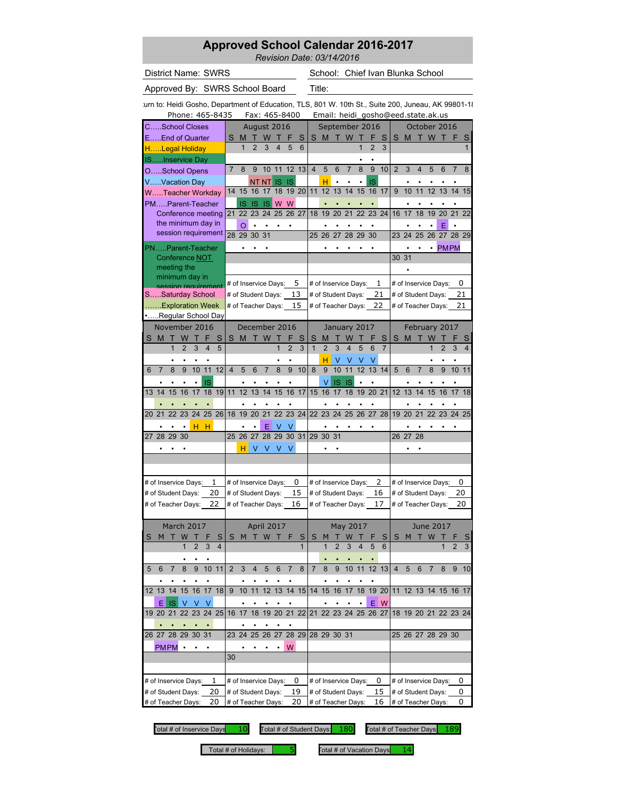*Revision(Date:(03/14/2016*

District Name: SWRS
School:

School: Chief Ivan Blunka School

Approved By: SWRS School Board Title:

lurn to: Heidi Gosho, Department of Education, TLS, 801 W. 10th St., Suite 200, Juneau, AK 99801-18

| Phone: 465-8435                                          | Fax: 465-8400                                              | Email: heidi_gosho@eed.state.ak.us                                   |                                                                    |  |  |  |  |  |  |  |
|----------------------------------------------------------|------------------------------------------------------------|----------------------------------------------------------------------|--------------------------------------------------------------------|--|--|--|--|--|--|--|
| <b>CSchool Closes</b>                                    | August 2016                                                | September 2016                                                       | October 2016                                                       |  |  |  |  |  |  |  |
| EEnd of Quarter                                          | S<br>W<br>S<br>M                                           | S<br>M<br>W<br>S                                                     | S<br>M<br>W<br>S                                                   |  |  |  |  |  |  |  |
| HLegal Holiday                                           | 1<br>$\overline{2}$<br>3<br>5<br>4<br>6                    | 1<br>$\overline{2}$<br>3                                             |                                                                    |  |  |  |  |  |  |  |
| ISInservice Day                                          |                                                            |                                                                      |                                                                    |  |  |  |  |  |  |  |
| OSchool Opens                                            | 10 11 12 13<br>$\overline{7}$<br>8<br>9                    | $\overline{4}$<br>5<br>6<br>7<br>8<br>9<br>10                        | $\overline{2}$<br>3<br>$\overline{\mathbf{4}}$<br>5<br>6<br>7<br>8 |  |  |  |  |  |  |  |
| VVacation Day                                            | <b>IS</b><br><b>NT NT</b><br><b>IS</b>                     | н<br>IS<br>٠                                                         |                                                                    |  |  |  |  |  |  |  |
| WTeacher Workday                                         | 19 20<br>15<br>17<br>18<br>14<br>16                        | 12<br>13<br>15<br>16<br>17<br>11<br>14                               | 9<br>12<br>11<br>13<br>14<br>15<br>10                              |  |  |  |  |  |  |  |
| PMParent-Teacher                                         | W<br>W<br>-IS<br>$IS$ $IS$                                 |                                                                      |                                                                    |  |  |  |  |  |  |  |
| Conference meeting                                       | 23<br>25<br>26<br>21<br>22<br>24<br>27                     | 22<br>23<br>19<br>20<br>24<br>18<br>21                               | 19<br>20<br>21<br>16<br>18<br>22<br>17                             |  |  |  |  |  |  |  |
| the minimum day in                                       | O                                                          |                                                                      | Ε<br>$\bullet$                                                     |  |  |  |  |  |  |  |
| session requirement                                      | 28 29 30<br>31                                             | 25 26<br>27<br>28<br>29<br>30                                        | 25<br>26<br>27 28 29<br>23<br>24                                   |  |  |  |  |  |  |  |
| PNParent-Teacher                                         |                                                            |                                                                      | <b>PMPM</b><br>٠                                                   |  |  |  |  |  |  |  |
| Conference NOT                                           |                                                            |                                                                      | 30 31                                                              |  |  |  |  |  |  |  |
| meeting the                                              |                                                            |                                                                      |                                                                    |  |  |  |  |  |  |  |
| minimum day in                                           |                                                            |                                                                      |                                                                    |  |  |  |  |  |  |  |
| session requirement                                      | 5<br># of Inservice Days:                                  | # of Inservice Days:<br>1                                            | 0<br># of Inservice Days:                                          |  |  |  |  |  |  |  |
| SSaturday School                                         | 13<br># of Student Days:                                   | 21<br># of Student Days:                                             | 21<br># of Student Days:                                           |  |  |  |  |  |  |  |
| Exploration Week                                         | 15<br># of Teacher Days:                                   | 22<br># of Teacher Days:                                             | 21<br># of Teacher Days:                                           |  |  |  |  |  |  |  |
| Regular School Day                                       |                                                            |                                                                      |                                                                    |  |  |  |  |  |  |  |
| November 2016                                            | December 2016                                              | January 2017                                                         | February 2017                                                      |  |  |  |  |  |  |  |
| M<br>т<br>w<br>т<br>F<br>S<br>S                          | S<br>M<br>Τ.<br>W<br>т<br>S                                | S<br>м<br>w<br>S                                                     | S<br>М<br>П<br>W                                                   |  |  |  |  |  |  |  |
| $\overline{1}$<br>3<br>5<br>$\overline{2}$<br>4          | $\overline{2}$<br>3<br>1                                   | $\mathbf{1}$<br>$\overline{2}$<br>3<br>4<br>5<br>6<br>$\overline{7}$ | 3<br>2<br>4                                                        |  |  |  |  |  |  |  |
|                                                          |                                                            | н<br>V                                                               |                                                                    |  |  |  |  |  |  |  |
| 9<br>10<br>11<br>12<br>$\overline{7}$<br>8<br>6          | 9<br>5<br>6<br>8<br>10<br>$\overline{4}$<br>$\overline{7}$ | 9<br>10<br>11<br>12<br>13<br>8<br>14                                 | 8<br>5<br>$\overline{7}$<br>10<br>6<br>9<br>11                     |  |  |  |  |  |  |  |
| <b>IS</b>                                                | $\bullet$<br>$\bullet$<br>$\bullet$<br>$\bullet$           | $\vee$<br>IS<br><b>IS</b><br>$\bullet$                               | ٠<br>$\bullet$<br>$\bullet$                                        |  |  |  |  |  |  |  |
| 15<br>17<br>18<br>19<br>14<br>16<br>13                   | 12<br>13<br>14<br>15<br>16<br>17<br>11                     | 16<br>17<br>18<br>19<br>20<br>21<br>15                               | 13<br>15<br>12<br>14<br>16<br>17<br>18                             |  |  |  |  |  |  |  |
|                                                          |                                                            |                                                                      |                                                                    |  |  |  |  |  |  |  |
| 23<br>24<br>25 26<br>20<br>22<br>21                      | 20<br>19<br>21<br>22 23 24<br>18                           | 22 23<br>24 25<br>26 27<br>28                                        | 19 20<br>21<br>22<br>23 24 25                                      |  |  |  |  |  |  |  |
| н<br>н                                                   | Е                                                          |                                                                      |                                                                    |  |  |  |  |  |  |  |
| 27 28<br>29<br>30                                        | 27<br>30 31<br>25<br>26<br>28<br>29                        | 31<br>29 30                                                          | 26 27<br>28                                                        |  |  |  |  |  |  |  |
|                                                          |                                                            |                                                                      |                                                                    |  |  |  |  |  |  |  |
|                                                          | H.<br>V<br>V V<br>V                                        |                                                                      |                                                                    |  |  |  |  |  |  |  |
|                                                          |                                                            |                                                                      |                                                                    |  |  |  |  |  |  |  |
|                                                          |                                                            |                                                                      |                                                                    |  |  |  |  |  |  |  |
| 1<br># of Inservice Days:                                | 0<br># of Inservice Days:                                  | 2<br># of Inservice Days:                                            | 0<br># of Inservice Days:                                          |  |  |  |  |  |  |  |
| 20<br># of Student Days:                                 | 15<br># of Student Days:                                   | 16<br># of Student Days:                                             | 20<br># of Student Days:                                           |  |  |  |  |  |  |  |
| 22<br># of Teacher Days:                                 | # of Teacher Days:<br>16                                   | 17<br># of Teacher Days:                                             | # of Teacher Days:<br>20                                           |  |  |  |  |  |  |  |
|                                                          |                                                            |                                                                      |                                                                    |  |  |  |  |  |  |  |
| March 2017                                               | April 2017                                                 | May 2017                                                             | June 2017                                                          |  |  |  |  |  |  |  |
| S<br>S<br>M                                              | S<br>W<br>F.<br>S<br>M<br>П                                | S<br>S<br>т<br>W<br>M<br>F                                           | S<br>M<br>T W                                                      |  |  |  |  |  |  |  |
| $\overline{\mathcal{L}}$<br>3<br>$\overline{\mathbf{4}}$ | 1                                                          | 3<br>4<br>5<br>6                                                     | 3                                                                  |  |  |  |  |  |  |  |
|                                                          |                                                            |                                                                      |                                                                    |  |  |  |  |  |  |  |
| $9$ 10 11<br>6<br>7<br>8<br>5                            | 2<br>3<br>5<br>4<br>6<br>7<br>8                            | $\overline{7}$<br>$9 \t10 \t11 \t12 \t13$ 4<br>8                     | 5<br>6<br>7<br>8<br>9<br>10 <sup>1</sup>                           |  |  |  |  |  |  |  |
|                                                          |                                                            |                                                                      |                                                                    |  |  |  |  |  |  |  |
| 16 17 18<br>14 15<br>12 13                               | 14 15<br>10<br>11<br>12<br>13<br>9                         | 14 15 16 17                                                          | 18 19 20 11 12 13 14 15 16 17                                      |  |  |  |  |  |  |  |
| S <br>Ε<br>V V<br>V                                      |                                                            | $E$ W                                                                |                                                                    |  |  |  |  |  |  |  |
| 19 20 21 22 23 24 25                                     | 21 22<br>16 17<br>18<br>19 20                              | 22 23 24<br>21<br>25 26 27                                           | 18 19 20 21 22 23 24                                               |  |  |  |  |  |  |  |
|                                                          |                                                            |                                                                      |                                                                    |  |  |  |  |  |  |  |
| 26 27 28 29 30 31                                        | 23 24 25 26 27 28 29                                       | 28 29 30 31                                                          | 25 26 27 28 29 30                                                  |  |  |  |  |  |  |  |
|                                                          |                                                            |                                                                      |                                                                    |  |  |  |  |  |  |  |
| PMPM .<br>٠                                              | W<br>$\bullet$<br>٠<br>30                                  |                                                                      |                                                                    |  |  |  |  |  |  |  |
|                                                          |                                                            |                                                                      |                                                                    |  |  |  |  |  |  |  |
|                                                          |                                                            |                                                                      |                                                                    |  |  |  |  |  |  |  |
| # of Inservice Days:<br>1                                | # of Inservice Days:<br>0                                  | # of Inservice Days:<br>0                                            | # of Inservice Days:<br>0                                          |  |  |  |  |  |  |  |
| 20<br># of Student Days:                                 | # of Student Days:<br>19                                   | # of Student Days:<br>15                                             | 0<br># of Student Days:                                            |  |  |  |  |  |  |  |
| 20<br># of Teacher Days:                                 | 20<br># of Teacher Days:                                   | # of Teacher Days:<br>16                                             | # of Teacher Days:<br>0                                            |  |  |  |  |  |  |  |

Total # of Inservice Days  $10$  Total # of Student Days:  $180$  Total # of Teacher Days:  $189$ 

Total # of Holidays:  $\begin{array}{|l|} 5 \end{array}$  Total # of Vacation Days 14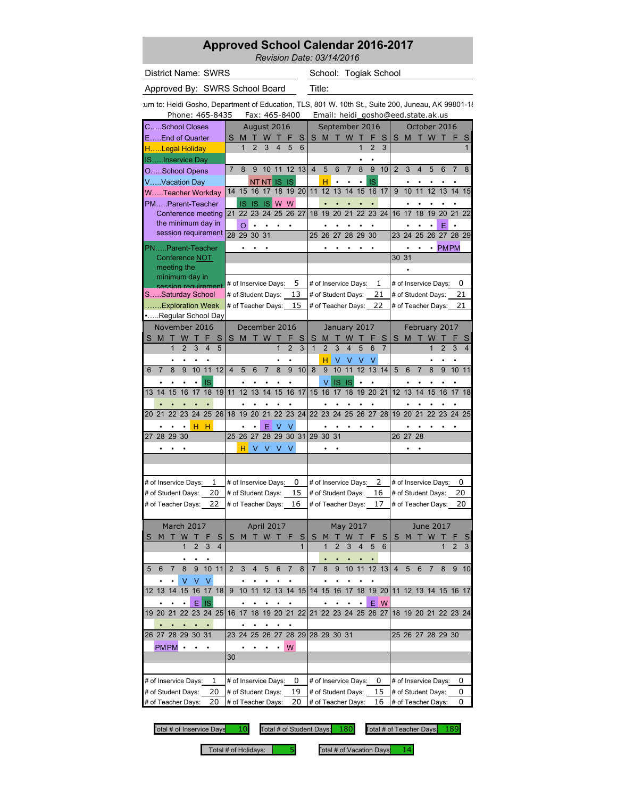*Revision(Date:(03/14/2016*

District Name: SWRS
School:

School: Togiak School

Approved By: SWRS School Board Title:

Phone:  $465-8435$  Fax:  $465-8400$  Email: heidi\_gosho@eed.state lurn to: Heidi Gosho, Department of Education, TLS, 801 W. 10th St., Suite 200, Juneau, AK 99801-18

| Phone: 465-8435                                 |                | rax: 465-8400        |                |     |                |              |              |                                                       |                |                |    | Emaii: neidi_gosno@eed.state.ak.us |                                                  |                          |                    |    |                      |                |                |                         |
|-------------------------------------------------|----------------|----------------------|----------------|-----|----------------|--------------|--------------|-------------------------------------------------------|----------------|----------------|----|------------------------------------|--------------------------------------------------|--------------------------|--------------------|----|----------------------|----------------|----------------|-------------------------|
| CSchool Closes                                  |                | August 2016          |                |     |                |              |              |                                                       |                |                |    | September 2016                     |                                                  |                          |                    |    | October 2016         |                |                |                         |
| EEnd of Quarter                                 | S              | M                    | w              |     |                | S            | S            | M                                                     |                | W              |    |                                    | S                                                | S                        | M                  | Т  | W                    |                |                | S                       |
| HLegal Holiday                                  |                | 1<br>2               | 3              | 4   | 5              | 6            |              |                                                       |                |                | 1  | $\overline{2}$                     | 3                                                |                          |                    |    |                      |                |                |                         |
| ISInservice Day                                 |                |                      |                |     |                |              |              |                                                       |                |                |    |                                    |                                                  |                          |                    |    |                      |                |                |                         |
| OSchool Opens                                   | $\overline{7}$ | 8<br>9               | 10             | 11  | 12             | 13           | 4            | 5                                                     | 6              | $\overline{7}$ | 8  | 9                                  | 10                                               | $\overline{2}$           | 3                  | 4  | 5                    | 6              | 7              | 8                       |
| VVacation Day                                   |                |                      | <b>NT NT</b>   | 1S  | <b>IS</b>      |              |              | н                                                     |                |                |    | IS                                 |                                                  |                          |                    |    |                      |                |                |                         |
| WTeacher Workday                                | 14             | 15<br>16             | 17             | 18  | 19 20          |              | 11           | 12                                                    | 13             | 14             | 15 | 16                                 | 17                                               | 9                        | 10                 | 11 | 12                   | 13             | 14             | 15                      |
|                                                 |                |                      |                | W W |                |              |              |                                                       |                |                |    |                                    |                                                  |                          |                    |    |                      |                |                |                         |
| PMParent-Teacher                                | 21             | IS IS IS<br>22<br>23 | 24             | 25  | 26             | 27           | 18           | 19                                                    | 20             | 21             | 22 | 23                                 | 24                                               | 16                       | 17                 | 18 | 19                   | 20             | 21             | 22                      |
| Conference meeting<br>the minimum day in        |                |                      |                |     |                |              |              |                                                       |                |                |    |                                    |                                                  |                          |                    |    |                      |                |                |                         |
| session requirement                             |                | O                    |                |     | ٠              |              |              |                                                       |                |                |    |                                    |                                                  |                          |                    |    |                      |                |                |                         |
|                                                 |                | 28 29 30             | 31             |     |                |              |              | 25 26 27 28 29 30                                     |                |                |    |                                    |                                                  |                          |                    |    | 23 24 25 26 27 28 29 |                |                |                         |
| PNParent-Teacher                                |                |                      |                |     |                |              |              |                                                       |                |                |    |                                    |                                                  |                          |                    |    | $\bullet$            | <b>PMPM</b>    |                |                         |
| Conference NOT                                  |                |                      |                |     |                |              |              |                                                       |                |                |    |                                    |                                                  | 30 31                    |                    |    |                      |                |                |                         |
| meeting the                                     |                |                      |                |     |                |              |              |                                                       |                |                |    |                                    |                                                  |                          |                    |    |                      |                |                |                         |
| minimum day in                                  |                |                      |                |     |                | 5            |              |                                                       |                |                |    |                                    |                                                  |                          |                    |    |                      |                |                | 0                       |
| session requirement                             |                | # of Inservice Days: |                |     |                |              |              | # of Inservice Days:                                  |                |                |    | 1                                  |                                                  |                          |                    |    | # of Inservice Days: |                |                |                         |
| SSaturday School                                |                | # of Student Days:   |                |     | 13             |              |              | # of Student Days:                                    |                |                |    | 21                                 |                                                  |                          |                    |    | # of Student Days:   |                |                | 21                      |
| Exploration Week                                |                | # of Teacher Days:   |                |     |                | 15           |              | # of Teacher Days:                                    |                |                |    | 22                                 |                                                  |                          |                    |    | # of Teacher Days:   |                |                | 21                      |
| Regular School Day                              |                |                      |                |     |                |              |              |                                                       |                |                |    |                                    |                                                  |                          |                    |    |                      |                |                |                         |
| November 2016                                   |                | December 2016        |                |     |                |              |              |                                                       |                | January 2017   |    |                                    |                                                  |                          |                    |    | February 2017        |                |                |                         |
| W<br>M<br>т<br>п<br>S<br>S.                     | S              | M<br>т               | W              | т   | F              | S            | S            | M                                                     |                | w              |    |                                    | S                                                | S                        | М                  | ٠  | W                    |                |                |                         |
| $\overline{1}$<br>3<br>$\overline{2}$<br>4<br>5 |                |                      |                | 1   | $\overline{2}$ | 3            | $\mathbf{1}$ | $\overline{2}$                                        | 3              | 4              | 5  | 6                                  | $\overline{7}$                                   |                          |                    |    | 1                    | $\overline{2}$ | 3              | $\overline{\mathbf{4}}$ |
|                                                 |                |                      |                |     |                |              |              | н                                                     | v              | V              |    | ٧                                  |                                                  |                          |                    |    |                      |                |                |                         |
| 8<br>9<br>10<br>11<br>12<br>$\overline{7}$<br>6 | 4              | 5<br>6               | $\overline{7}$ | 8   | 9              | 10           | 8            | 9                                                     | 10             | 11             | 12 | 13                                 | 14                                               | 5                        | 6                  | 7  | 8                    | 9              | 10             | 11                      |
| IS                                              |                |                      |                |     |                |              |              | V                                                     | IS             | IS             |    |                                    |                                                  |                          |                    |    |                      |                |                |                         |
| 15<br>17<br>19<br>16<br>18<br>14<br>13          | 11             | 12<br>13             | 14             | 15  | 16             | 17           | 15           | 16                                                    | 17             | 18             | 19 | 20 21                              |                                                  | 12                       | 13                 | 14 | 15                   | 16             | 17             | 18                      |
|                                                 |                |                      |                |     |                |              |              |                                                       |                |                |    |                                    |                                                  |                          |                    |    |                      |                |                |                         |
|                                                 |                |                      |                |     |                |              |              |                                                       |                |                |    |                                    |                                                  |                          |                    |    |                      |                |                |                         |
| 23<br>24<br>25 26<br>20 21<br>22                | 18             | 19<br>20             | 21             | 22  | 23             | 24           | 22 23        |                                                       | 24             | 25             | 26 | 27                                 | 28                                               | 19                       | 20                 | 21 | 22                   | 23             | 24             | 25                      |
| н<br>н                                          |                |                      | F              |     | ν              |              |              |                                                       |                |                |    |                                    |                                                  |                          |                    |    |                      |                |                |                         |
| 28<br>29<br>30<br>27                            | 25 26          | 27                   | 28 29          |     | 30 31          |              | 29 30        |                                                       | 31             |                |    |                                    |                                                  |                          | 26 27              | 28 |                      |                |                |                         |
|                                                 |                | н.<br>V              | V              | V   | ٧              |              |              |                                                       |                |                |    |                                    |                                                  |                          |                    |    |                      |                |                |                         |
|                                                 |                |                      |                |     |                |              |              |                                                       |                |                |    |                                    |                                                  |                          |                    |    |                      |                |                |                         |
|                                                 |                |                      |                |     |                |              |              |                                                       |                |                |    |                                    |                                                  |                          |                    |    |                      |                |                |                         |
| 1                                               |                |                      |                |     | 0              |              |              |                                                       |                |                |    |                                    |                                                  |                          |                    |    |                      |                |                | 0                       |
| # of Inservice Days:                            |                | # of Inservice Days: |                |     |                |              |              | 2<br># of Inservice Days:<br>16<br># of Student Days: |                |                |    |                                    | # of Inservice Days:<br>20<br># of Student Days: |                          |                    |    |                      |                |                |                         |
| 20<br># of Student Days:                        |                | # of Student Days:   |                |     |                | 15           |              |                                                       |                |                |    |                                    |                                                  |                          |                    |    |                      |                |                |                         |
| # of Teacher Days:<br>22                        |                | # of Teacher Days:   |                |     | 16             |              |              | # of Teacher Days:                                    |                |                |    | 17                                 |                                                  | # of Teacher Days:<br>20 |                    |    |                      |                |                |                         |
|                                                 |                |                      |                |     |                |              |              |                                                       |                |                |    |                                    |                                                  |                          |                    |    |                      |                |                |                         |
| March 2017                                      |                | April 2017           |                |     |                |              |              |                                                       |                | May 2017       |    |                                    |                                                  |                          |                    |    | <b>June 2017</b>     |                |                |                         |
| S                                               | S              | M                    |                |     |                | S            | S            |                                                       |                |                |    |                                    | S                                                | S                        | M                  |    |                      |                |                |                         |
| 3<br>$\overline{4}$                             |                |                      |                |     |                | $\mathbf{1}$ |              | $\overline{1}$                                        | $\overline{2}$ |                |    | 5                                  | 6                                                |                          |                    |    |                      | 1              | $\overline{2}$ | 3                       |
|                                                 |                |                      |                |     |                |              |              |                                                       |                |                |    |                                    |                                                  |                          |                    |    |                      |                |                |                         |
| 8<br>9<br>10 11<br>5<br>6                       | 2              | 3                    |                | 6   |                | 8            |              | 8                                                     | 9              | 10 11          |    | 12 13                              |                                                  | 4                        | 5                  | 6  |                      | 8              | 9              | 10                      |
| v<br>V                                          |                |                      |                |     |                |              |              |                                                       |                |                |    |                                    |                                                  |                          |                    |    |                      |                |                |                         |
| 15<br>12 13<br>14<br>16 17 18                   | 9              | 10<br>11             | 12             | 13  | 14 15          |              |              | 14 15                                                 | 16             | 17             | 18 | 19 20                              |                                                  |                          |                    |    | 11 12 13 14 15 16 17 |                |                |                         |
|                                                 |                |                      |                |     |                |              |              |                                                       |                |                |    |                                    |                                                  |                          |                    |    |                      |                |                |                         |
| Ε<br>IS                                         |                |                      |                |     |                |              |              |                                                       |                |                |    | Ε                                  | W                                                |                          |                    |    |                      |                |                |                         |
| 22 23 24 25<br>19 20 21                         | 16 17          |                      | 18 19 20 21 22 |     |                |              |              |                                                       |                |                |    | 21 22 23 24 25 26 27               |                                                  |                          |                    |    | 18 19 20 21 22 23 24 |                |                |                         |
|                                                 |                |                      |                |     |                |              |              |                                                       |                |                |    |                                    |                                                  |                          |                    |    |                      |                |                |                         |
| 26 27 28 29 30 31                               |                | 23 24 25 26 27       |                |     | 28 29          |              |              | 28 29 30 31                                           |                |                |    |                                    |                                                  |                          |                    |    | 25 26 27 28 29 30    |                |                |                         |
| <b>PMPM</b><br>$\bullet$                        |                |                      |                |     | W              |              |              |                                                       |                |                |    |                                    |                                                  |                          |                    |    |                      |                |                |                         |
|                                                 | 30             |                      |                |     |                |              |              |                                                       |                |                |    |                                    |                                                  |                          |                    |    |                      |                |                |                         |
|                                                 |                |                      |                |     |                |              |              |                                                       |                |                |    |                                    |                                                  |                          |                    |    |                      |                |                |                         |
| $\mathbf 1$                                     |                |                      |                |     |                |              |              |                                                       |                |                |    |                                    |                                                  |                          |                    |    |                      |                |                |                         |
| # of Inservice Days:                            |                | # of Inservice Days: |                |     |                | 0            |              | # of Inservice Days:                                  |                |                |    | 0                                  |                                                  |                          |                    |    | # of Inservice Days: |                |                | 0                       |
| 20<br># of Student Days:                        |                | # of Student Days:   |                |     | 19             |              |              | # of Student Days:                                    |                |                |    |                                    | 15                                               |                          |                    |    | # of Student Days:   |                |                | 0                       |
| # of Teacher Days:<br>20                        |                | # of Teacher Days:   |                |     |                | 20           |              | # of Teacher Days:                                    |                |                |    |                                    | 16                                               |                          | # of Teacher Days: |    |                      |                |                | 0                       |

Total # of Inservice Days  $10$  Total # of Student Days:  $180$  Total # of Teacher Days:  $189$